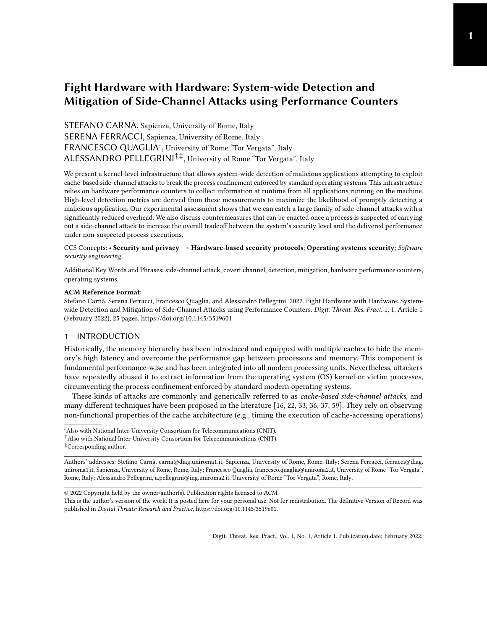# <span id="page-0-0"></span>Fight Hardware with Hardware: System-wide Detection and Mitigation of Side-Channel Attacks using Performance Counters

STEFANO CARNÀ, Sapienza, University of Rome, Italy SERENA FERRACCI, Sapienza, University of Rome, Italy FRANCESCO QUAGLIA<sup>\*</sup>, University of Rome "Tor Vergata", Italy ALESSANDRO PELLEGRINI†‡ , University of Rome "Tor Vergata", Italy

We present a kernel-level infrastructure that allows system-wide detection of malicious applications attempting to exploit cache-based side-channel attacks to break the process confinement enforced by standard operating systems. This infrastructure relies on hardware performance counters to collect information at runtime from all applications running on the machine. High-level detection metrics are derived from these measurements to maximize the likelihood of promptly detecting a malicious application. Our experimental assessment shows that we can catch a large family of side-channel attacks with a significantly reduced overhead. We also discuss countermeasures that can be enacted once a process is suspected of carrying out a side-channel attack to increase the overall tradeoff between the system's security level and the delivered performance under non-suspected process executions.

#### CCS Concepts: • Security and privacy → Hardware-based security protocols; Operating systems security; Software security engineering.

Additional Key Words and Phrases: side-channel attack, covert channel, detection, mitigation, hardware performance counters, operating systems.

#### ACM Reference Format:

Stefano Carnà, Serena Ferracci, Francesco Quaglia, and Alessandro Pellegrini. 2022. Fight Hardware with Hardware: Systemwide Detection and Mitigation of Side-Channel Attacks using Performance Counters. Digit. Threat. Res. Pract. 1, 1, Article 1 (February 2022), [25](#page-24-0) pages.<https://doi.org/10.1145/3519601>

# 1 INTRODUCTION

Historically, the memory hierarchy has been introduced and equipped with multiple caches to hide the memory's high latency and overcome the performance gap between processors and memory. This component is fundamental performance-wise and has been integrated into all modern processing units. Nevertheless, attackers have repeatedly abused it to extract information from the operating system (OS) kernel or victim processes, circumventing the process confinement enforced by standard modern operating systems.

These kinds of attacks are commonly and generically referred to as *cache-based side-channel attacks*, and many different techniques have been proposed in the literature [\[16,](#page-22-0) [22,](#page-22-1) [33,](#page-22-2) [36,](#page-22-3) [37,](#page-22-4) [59\]](#page-23-0). They rely on observing non-functional properties of the cache architecture (e.g., timing the execution of cache-accessing operations)

†Also with National Inter-University Consortium for Telecommunications (CNIT).

<sup>∗</sup>Also with National Inter-University Consortium for Telecommunications (CNIT).

<sup>‡</sup>Corresponding author.

Authors' addresses: Stefano Carnà, carna@diag.uniroma1.it, Sapienza, University of Rome, Rome, Italy; Serena Ferracci, ferracci@diag. uniroma1.it, Sapienza, University of Rome, Rome, Italy; Francesco Quaglia, francesco.quaglia@uniroma2.it, University of Rome "Tor Vergata", Rome, Italy; Alessandro Pellegrini, a.pellegrini@ing.uniroma2.it, University of Rome "Tor Vergata", Rome, Italy.

<sup>©</sup> 2022 Copyright held by the owner/author(s). Publication rights licensed to ACM.

This is the author's version of the work. It is posted here for your personal use. Not for redistribution. The definitive Version of Record was published in Digital Threats: Research and Practice, [https://doi.org/10.1145/3519601.](https://doi.org/10.1145/3519601)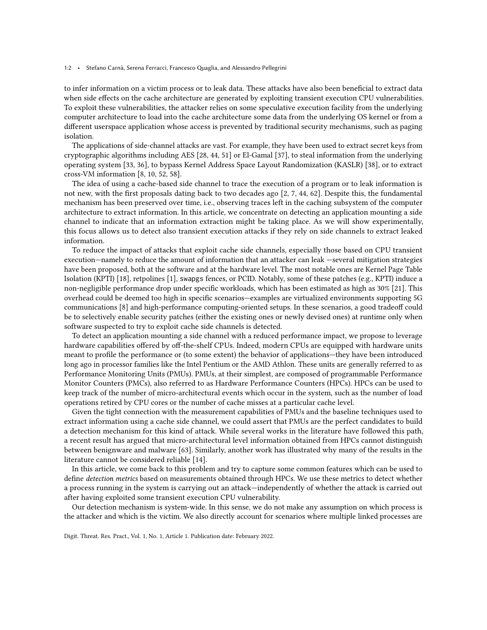#### 1:2 • Stefano Carnà, Serena Ferracci, Francesco Quaglia, and Alessandro Pellegrini

to infer information on a victim process or to leak data. These attacks have also been beneficial to extract data when side effects on the cache architecture are generated by exploiting transient execution CPU vulnerabilities. To exploit these vulnerabilities, the attacker relies on some speculative execution facility from the underlying computer architecture to load into the cache architecture some data from the underlying OS kernel or from a different userspace application whose access is prevented by traditional security mechanisms, such as paging isolation.

The applications of side-channel attacks are vast. For example, they have been used to extract secret keys from cryptographic algorithms including AES [\[28,](#page-22-5) [44,](#page-23-1) [51\]](#page-23-2) or El-Gamal [\[37\]](#page-22-4), to steal information from the underlying operating system [\[33,](#page-22-2) [36\]](#page-22-3), to bypass Kernel Address Space Layout Randomization (KASLR) [\[38\]](#page-22-6), or to extract cross-VM information [\[8,](#page-21-0) [10,](#page-21-1) [52,](#page-23-3) [58\]](#page-23-4).

The idea of using a cache-based side channel to trace the execution of a program or to leak information is not new, with the first proposals dating back to two decades ago [\[2,](#page-21-2) [7,](#page-21-3) [44,](#page-23-1) [62\]](#page-24-1). Despite this, the fundamental mechanism has been preserved over time, i.e., observing traces left in the caching subsystem of the computer architecture to extract information. In this article, we concentrate on detecting an application mounting a side channel to indicate that an information extraction might be taking place. As we will show experimentally, this focus allows us to detect also transient execution attacks if they rely on side channels to extract leaked information.

To reduce the impact of attacks that exploit cache side channels, especially those based on CPU transient execution—namely to reduce the amount of information that an attacker can leak —several mitigation strategies have been proposed, both at the software and at the hardware level. The most notable ones are Kernel Page Table Isolation (KPTI) [\[18\]](#page-22-7), retpolines [\[1\]](#page-21-4), swapgs fences, or PCID. Notably, some of these patches (e.g., KPTI) induce a non-negligible performance drop under specific workloads, which has been estimated as high as 30% [\[21\]](#page-22-8). This overhead could be deemed too high in specific scenarios—examples are virtualized environments supporting 5G communications [\[8\]](#page-21-0) and high-performance computing-oriented setups. In these scenarios, a good tradeoff could be to selectively enable security patches (either the existing ones or newly devised ones) at runtime only when software suspected to try to exploit cache side channels is detected.

To detect an application mounting a side channel with a reduced performance impact, we propose to leverage hardware capabilities offered by off-the-shelf CPUs. Indeed, modern CPUs are equipped with hardware units meant to profile the performance or (to some extent) the behavior of applications—they have been introduced long ago in processor families like the Intel Pentium or the AMD Athlon. These units are generally referred to as Performance Monitoring Units (PMUs). PMUs, at their simplest, are composed of programmable Performance Monitor Counters (PMCs), also referred to as Hardware Performance Counters (HPCs). HPCs can be used to keep track of the number of micro-architectural events which occur in the system, such as the number of load operations retired by CPU cores or the number of cache misses at a particular cache level.

Given the tight connection with the measurement capabilities of PMUs and the baseline techniques used to extract information using a cache side channel, we could assert that PMUs are the perfect candidates to build a detection mechanism for this kind of attack. While several works in the literature have followed this path, a recent result has argued that micro-architectural level information obtained from HPCs cannot distinguish between benignware and malware [\[63\]](#page-24-2). Similarly, another work has illustrated why many of the results in the literature cannot be considered reliable [\[14\]](#page-21-5).

In this article, we come back to this problem and try to capture some common features which can be used to define detection metrics based on measurements obtained through HPCs. We use these metrics to detect whether a process running in the system is carrying out an attack—independently of whether the attack is carried out after having exploited some transient execution CPU vulnerability.

Our detection mechanism is system-wide. In this sense, we do not make any assumption on which process is the attacker and which is the victim. We also directly account for scenarios where multiple linked processes are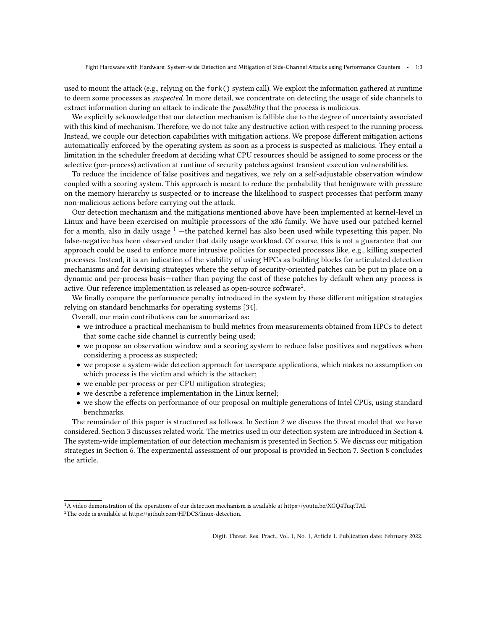used to mount the attack (e.g., relying on the fork() system call). We exploit the information gathered at runtime to deem some processes as suspected. In more detail, we concentrate on detecting the usage of side channels to extract information during an attack to indicate the possibility that the process is malicious.

We explicitly acknowledge that our detection mechanism is fallible due to the degree of uncertainty associated with this kind of mechanism. Therefore, we do not take any destructive action with respect to the running process. Instead, we couple our detection capabilities with mitigation actions. We propose different mitigation actions automatically enforced by the operating system as soon as a process is suspected as malicious. They entail a limitation in the scheduler freedom at deciding what CPU resources should be assigned to some process or the selective (per-process) activation at runtime of security patches against transient execution vulnerabilities.

To reduce the incidence of false positives and negatives, we rely on a self-adjustable observation window coupled with a scoring system. This approach is meant to reduce the probability that benignware with pressure on the memory hierarchy is suspected or to increase the likelihood to suspect processes that perform many non-malicious actions before carrying out the attack.

Our detection mechanism and the mitigations mentioned above have been implemented at kernel-level in Linux and have been exercised on multiple processors of the x86 family. We have used our patched kernel for a month, also in daily usage  $1$  —the patched kernel has also been used while typesetting this paper. No false-negative has been observed under that daily usage workload. Of course, this is not a guarantee that our approach could be used to enforce more intrusive policies for suspected processes like, e.g., killing suspected processes. Instead, it is an indication of the viability of using HPCs as building blocks for articulated detection mechanisms and for devising strategies where the setup of security-oriented patches can be put in place on a dynamic and per-process basis—rather than paying the cost of these patches by default when any process is active. Our reference implementation is released as open-source software<sup>[2](#page-2-1)</sup>.

We finally compare the performance penalty introduced in the system by these different mitigation strategies relying on standard benchmarks for operating systems [\[34\]](#page-22-9).

Overall, our main contributions can be summarized as:

- we introduce a practical mechanism to build metrics from measurements obtained from HPCs to detect that some cache side channel is currently being used;
- we propose an observation window and a scoring system to reduce false positives and negatives when considering a process as suspected;
- we propose a system-wide detection approach for userspace applications, which makes no assumption on which process is the victim and which is the attacker;
- we enable per-process or per-CPU mitigation strategies;
- we describe a reference implementation in the Linux kernel;
- we show the effects on performance of our proposal on multiple generations of Intel CPUs, using standard benchmarks.

The remainder of this paper is structured as follows. In Section [2](#page-3-0) we discuss the threat model that we have considered. Section [3](#page-3-1) discusses related work. The metrics used in our detection system are introduced in Section [4.](#page-4-0) The system-wide implementation of our detection mechanism is presented in Section [5.](#page-8-0) We discuss our mitigation strategies in Section [6.](#page-11-0) The experimental assessment of our proposal is provided in Section [7.](#page-13-0) Section [8](#page-20-0) concludes the article.

<span id="page-2-0"></span><sup>1</sup>A video demonstration of the operations of our detection mechanism is available at [https://youtu.be/XGQ4TuqtTAI.](https://youtu.be/XGQ4TuqtTAI)

<span id="page-2-1"></span><sup>2</sup>The code is available at [https://github.com/HPDCS/linux-detection.](https://github.com/HPDCS/linux-detection)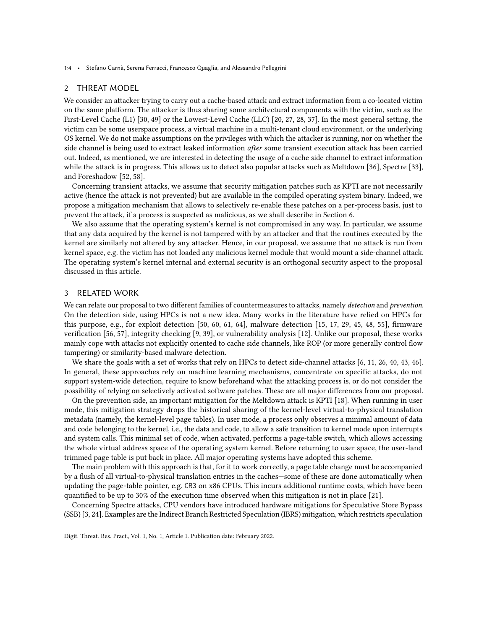1:4 • Stefano Carnà, Serena Ferracci, Francesco Quaglia, and Alessandro Pellegrini

#### <span id="page-3-0"></span>2 THREAT MODEL

We consider an attacker trying to carry out a cache-based attack and extract information from a co-located victim on the same platform. The attacker is thus sharing some architectural components with the victim, such as the First-Level Cache (L1) [\[30,](#page-22-10) [49\]](#page-23-5) or the Lowest-Level Cache (LLC) [\[20,](#page-22-11) [27,](#page-22-12) [28,](#page-22-5) [37\]](#page-22-4). In the most general setting, the victim can be some userspace process, a virtual machine in a multi-tenant cloud environment, or the underlying OS kernel. We do not make assumptions on the privileges with which the attacker is running, nor on whether the side channel is being used to extract leaked information after some transient execution attack has been carried out. Indeed, as mentioned, we are interested in detecting the usage of a cache side channel to extract information while the attack is in progress. This allows us to detect also popular attacks such as Meltdown [\[36\]](#page-22-3), Spectre [\[33\]](#page-22-2), and Foreshadow [\[52,](#page-23-3) [58\]](#page-23-4).

Concerning transient attacks, we assume that security mitigation patches such as KPTI are not necessarily active (hence the attack is not prevented) but are available in the compiled operating system binary. Indeed, we propose a mitigation mechanism that allows to selectively re-enable these patches on a per-process basis, just to prevent the attack, if a process is suspected as malicious, as we shall describe in Section [6.](#page-11-0)

We also assume that the operating system's kernel is not compromised in any way. In particular, we assume that any data acquired by the kernel is not tampered with by an attacker and that the routines executed by the kernel are similarly not altered by any attacker. Hence, in our proposal, we assume that no attack is run from kernel space, e.g. the victim has not loaded any malicious kernel module that would mount a side-channel attack. The operating system's kernel internal and external security is an orthogonal security aspect to the proposal discussed in this article.

# <span id="page-3-1"></span>3 RELATED WORK

We can relate our proposal to two different families of countermeasures to attacks, namely detection and prevention. On the detection side, using HPCs is not a new idea. Many works in the literature have relied on HPCs for this purpose, e.g., for exploit detection [\[50,](#page-23-6) [60,](#page-23-7) [61,](#page-24-3) [64\]](#page-24-4), malware detection [\[15,](#page-22-13) [17,](#page-22-14) [29,](#page-22-15) [45,](#page-23-8) [48,](#page-23-9) [55\]](#page-23-10), firmware verification [\[56,](#page-23-11) [57\]](#page-23-12), integrity checking [\[9,](#page-21-6) [39\]](#page-22-16), or vulnerability analysis [\[12\]](#page-21-7). Unlike our proposal, these works mainly cope with attacks not explicitly oriented to cache side channels, like ROP (or more generally control flow tampering) or similarity-based malware detection.

We share the goals with a set of works that rely on HPCs to detect side-channel attacks [\[6,](#page-21-8) [11,](#page-21-9) [26,](#page-22-17) [40,](#page-23-13) [43,](#page-23-14) [46\]](#page-23-15). In general, these approaches rely on machine learning mechanisms, concentrate on specific attacks, do not support system-wide detection, require to know beforehand what the attacking process is, or do not consider the possibility of relying on selectively activated software patches. These are all major differences from our proposal.

On the prevention side, an important mitigation for the Meltdown attack is KPTI [\[18\]](#page-22-7). When running in user mode, this mitigation strategy drops the historical sharing of the kernel-level virtual-to-physical translation metadata (namely, the kernel-level page tables). In user mode, a process only observes a minimal amount of data and code belonging to the kernel, i.e., the data and code, to allow a safe transition to kernel mode upon interrupts and system calls. This minimal set of code, when activated, performs a page-table switch, which allows accessing the whole virtual address space of the operating system kernel. Before returning to user space, the user-land trimmed page table is put back in place. All major operating systems have adopted this scheme.

The main problem with this approach is that, for it to work correctly, a page table change must be accompanied by a flush of all virtual-to-physical translation entries in the caches—some of these are done automatically when updating the page-table pointer, e.g. CR3 on x86 CPUs. This incurs additional runtime costs, which have been quantified to be up to 30% of the execution time observed when this mitigation is not in place [\[21\]](#page-22-8).

Concerning Spectre attacks, CPU vendors have introduced hardware mitigations for Speculative Store Bypass (SSB) [\[3,](#page-21-10) [24\]](#page-22-18). Examples are the Indirect Branch Restricted Speculation (IBRS) mitigation, which restricts speculation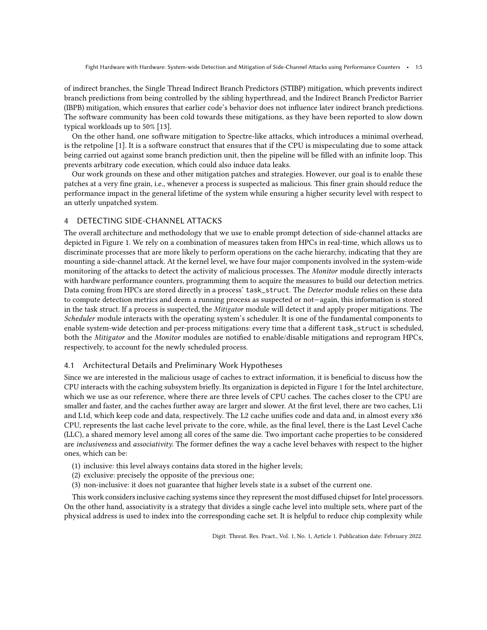Fight Hardware with Hardware: System-wide Detection and Mitigation of Side-Channel Attacks using Performance Counters • 1:5

of indirect branches, the Single Thread Indirect Branch Predictors (STIBP) mitigation, which prevents indirect branch predictions from being controlled by the sibling hyperthread, and the Indirect Branch Predictor Barrier (IBPB) mitigation, which ensures that earlier code's behavior does not influence later indirect branch predictions. The software community has been cold towards these mitigations, as they have been reported to slow down typical workloads up to 50% [\[13\]](#page-21-11).

On the other hand, one software mitigation to Spectre-like attacks, which introduces a minimal overhead, is the retpoline [\[1\]](#page-21-4). It is a software construct that ensures that if the CPU is mispeculating due to some attack being carried out against some branch prediction unit, then the pipeline will be filled with an infinite loop. This prevents arbitrary code execution, which could also induce data leaks.

Our work grounds on these and other mitigation patches and strategies. However, our goal is to enable these patches at a very fine grain, i.e., whenever a process is suspected as malicious. This finer grain should reduce the performance impact in the general lifetime of the system while ensuring a higher security level with respect to an utterly unpatched system.

# <span id="page-4-0"></span>4 DETECTING SIDE-CHANNEL ATTACKS

The overall architecture and methodology that we use to enable prompt detection of side-channel attacks are depicted in Figure [1.](#page-5-0) We rely on a combination of measures taken from HPCs in real-time, which allows us to discriminate processes that are more likely to perform operations on the cache hierarchy, indicating that they are mounting a side-channel attack. At the kernel level, we have four major components involved in the system-wide monitoring of the attacks to detect the activity of malicious processes. The Monitor module directly interacts with hardware performance counters, programming them to acquire the measures to build our detection metrics. Data coming from HPCs are stored directly in a process' task\_struct. The Detector module relies on these data to compute detection metrics and deem a running process as suspected or not—again, this information is stored in the task struct. If a process is suspected, the Mitigator module will detect it and apply proper mitigations. The Scheduler module interacts with the operating system's scheduler. It is one of the fundamental components to enable system-wide detection and per-process mitigations: every time that a different task\_struct is scheduled, both the Mitigator and the Monitor modules are notified to enable/disable mitigations and reprogram HPCs, respectively, to account for the newly scheduled process.

#### 4.1 Architectural Details and Preliminary Work Hypotheses

Since we are interested in the malicious usage of caches to extract information, it is beneficial to discuss how the CPU interacts with the caching subsystem briefly. Its organization is depicted in Figure [1](#page-5-0) for the Intel architecture, which we use as our reference, where there are three levels of CPU caches. The caches closer to the CPU are smaller and faster, and the caches further away are larger and slower. At the first level, there are two caches, L1i and L1d, which keep code and data, respectively. The L2 cache unifies code and data and, in almost every x86 CPU, represents the last cache level private to the core, while, as the final level, there is the Last Level Cache (LLC), a shared memory level among all cores of the same die. Two important cache properties to be considered are inclusiveness and associativity. The former defines the way a cache level behaves with respect to the higher ones, which can be:

- (1) inclusive: this level always contains data stored in the higher levels;
- (2) exclusive: precisely the opposite of the previous one;
- (3) non-inclusive: it does not guarantee that higher levels state is a subset of the current one.

This work considers inclusive caching systems since they represent the most diffused chipset for Intel processors. On the other hand, associativity is a strategy that divides a single cache level into multiple sets, where part of the physical address is used to index into the corresponding cache set. It is helpful to reduce chip complexity while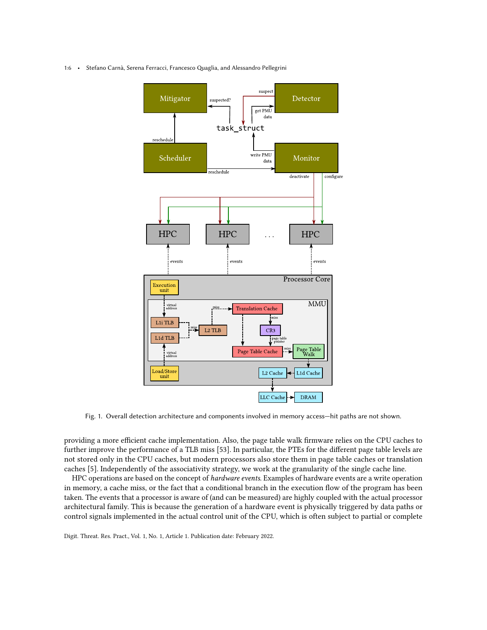<span id="page-5-0"></span>1:6 • Stefano Carnà, Serena Ferracci, Francesco Quaglia, and Alessandro Pellegrini



Fig. 1. Overall detection architecture and components involved in memory access—hit paths are not shown.

providing a more efficient cache implementation. Also, the page table walk firmware relies on the CPU caches to further improve the performance of a TLB miss [\[53\]](#page-23-16). In particular, the PTEs for the different page table levels are not stored only in the CPU caches, but modern processors also store them in page table caches or translation caches [\[5\]](#page-21-12). Independently of the associativity strategy, we work at the granularity of the single cache line.

HPC operations are based on the concept of *hardware events*. Examples of hardware events are a write operation in memory, a cache miss, or the fact that a conditional branch in the execution flow of the program has been taken. The events that a processor is aware of (and can be measured) are highly coupled with the actual processor architectural family. This is because the generation of a hardware event is physically triggered by data paths or control signals implemented in the actual control unit of the CPU, which is often subject to partial or complete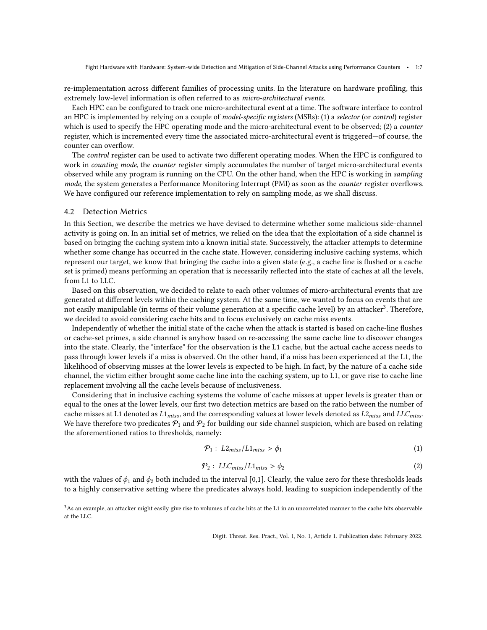Fight Hardware with Hardware: System-wide Detection and Mitigation of Side-Channel Attacks using Performance Counters • 1:7

re-implementation across different families of processing units. In the literature on hardware profiling, this extremely low-level information is often referred to as micro-architectural events.

Each HPC can be configured to track one micro-architectural event at a time. The software interface to control an HPC is implemented by relying on a couple of model-specific registers (MSRs): (1) a selector (or control) register which is used to specify the HPC operating mode and the micro-architectural event to be observed; (2) a counter register, which is incremented every time the associated micro-architectural event is triggered—of course, the counter can overflow.

The *control* register can be used to activate two different operating modes. When the HPC is configured to work in *counting mode*, the *counter* register simply accumulates the number of target micro-architectural events observed while any program is running on the CPU. On the other hand, when the HPC is working in sampling mode, the system generates a Performance Monitoring Interrupt (PMI) as soon as the counter register overflows. We have configured our reference implementation to rely on sampling mode, as we shall discuss.

#### <span id="page-6-1"></span>4.2 Detection Metrics

In this Section, we describe the metrics we have devised to determine whether some malicious side-channel activity is going on. In an initial set of metrics, we relied on the idea that the exploitation of a side channel is based on bringing the caching system into a known initial state. Successively, the attacker attempts to determine whether some change has occurred in the cache state. However, considering inclusive caching systems, which represent our target, we know that bringing the cache into a given state (e.g., a cache line is flushed or a cache set is primed) means performing an operation that is necessarily reflected into the state of caches at all the levels, from L1 to LLC.

Based on this observation, we decided to relate to each other volumes of micro-architectural events that are generated at different levels within the caching system. At the same time, we wanted to focus on events that are  $\rm \tilde{P}$  not easily manipulable (in terms of their volume generation at a specific cache level) by an attacker $\rm ^3$  $\rm ^3$ . Therefore, we decided to avoid considering cache hits and to focus exclusively on cache miss events.

Independently of whether the initial state of the cache when the attack is started is based on cache-line flushes or cache-set primes, a side channel is anyhow based on re-accessing the same cache line to discover changes into the state. Clearly, the "interface" for the observation is the L1 cache, but the actual cache access needs to pass through lower levels if a miss is observed. On the other hand, if a miss has been experienced at the L1, the likelihood of observing misses at the lower levels is expected to be high. In fact, by the nature of a cache side channel, the victim either brought some cache line into the caching system, up to L1, or gave rise to cache line replacement involving all the cache levels because of inclusiveness.

Considering that in inclusive caching systems the volume of cache misses at upper levels is greater than or equal to the ones at the lower levels, our first two detection metrics are based on the ratio between the number of cache misses at L1 denoted as  $L1_{miss}$ , and the corresponding values at lower levels denoted as  $L2_{miss}$  and  $LLC_{miss}$ . We have therefore two predicates  $P_1$  and  $P_2$  for building our side channel suspicion, which are based on relating the aforementioned ratios to thresholds, namely:

$$
\mathcal{P}_1: L2_{miss}/L1_{miss} > \phi_1 \tag{1}
$$

$$
\mathcal{P}_2: LLC_{miss}/L1_{miss} > \phi_2 \tag{2}
$$

with the values of  $\phi_1$  and  $\phi_2$  both included in the interval [0,1]. Clearly, the value zero for these thresholds leads to a highly conservative setting where the predicates always hold, leading to suspicion independently of the

<span id="page-6-0"></span><sup>&</sup>lt;sup>3</sup>As an example, an attacker might easily give rise to volumes of cache hits at the L1 in an uncorrelated manner to the cache hits observable at the LLC.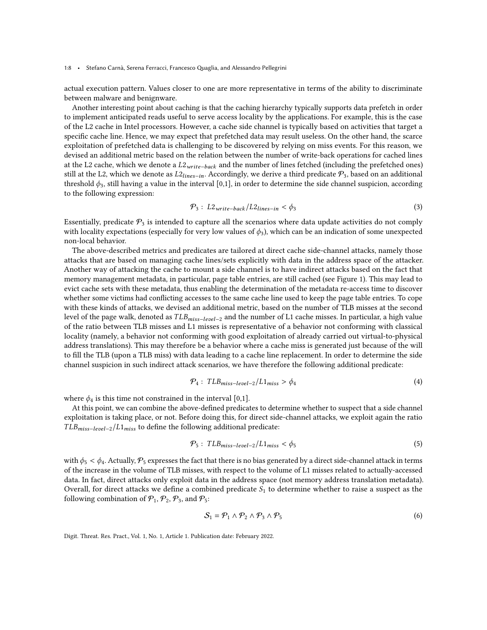1:8 • Stefano Carnà, Serena Ferracci, Francesco Quaglia, and Alessandro Pellegrini

actual execution pattern. Values closer to one are more representative in terms of the ability to discriminate between malware and benignware.

Another interesting point about caching is that the caching hierarchy typically supports data prefetch in order to implement anticipated reads useful to serve access locality by the applications. For example, this is the case of the L2 cache in Intel processors. However, a cache side channel is typically based on activities that target a specific cache line. Hence, we may expect that prefetched data may result useless. On the other hand, the scarce exploitation of prefetched data is challenging to be discovered by relying on miss events. For this reason, we devised an additional metric based on the relation between the number of write-back operations for cached lines at the L2 cache, which we denote a  $L2_{write-back}$  and the number of lines fetched (including the prefetched ones) still at the L2, which we denote as  $L2_{lines-in}$ . Accordingly, we derive a third predicate  $\mathcal{P}_3$ , based on an additional threshold  $\phi_3$ , still having a value in the interval [0,1], in order to determine the side channel suspicion, according to the following expression:

$$
\mathcal{P}_3: L2_{write-back}/L2_{lines-in} < \phi_3
$$
\n(3)

Essentially, predicate  $P_3$  is intended to capture all the scenarios where data update activities do not comply with locality expectations (especially for very low values of  $\phi_3$ ), which can be an indication of some unexpected non-local behavior.

The above-described metrics and predicates are tailored at direct cache side-channel attacks, namely those attacks that are based on managing cache lines/sets explicitly with data in the address space of the attacker. Another way of attacking the cache to mount a side channel is to have indirect attacks based on the fact that memory management metadata, in particular, page table entries, are still cached (see Figure [1\)](#page-5-0). This may lead to evict cache sets with these metadata, thus enabling the determination of the metadata re-access time to discover whether some victims had conflicting accesses to the same cache line used to keep the page table entries. To cope with these kinds of attacks, we devised an additional metric, based on the number of TLB misses at the second level of the page walk, denoted as  $TLB_{miss-level-2}$  and the number of L1 cache misses. In particular, a high value of the ratio between TLB misses and L1 misses is representative of a behavior not conforming with classical locality (namely, a behavior not conforming with good exploitation of already carried out virtual-to-physical address translations). This may therefore be a behavior where a cache miss is generated just because of the will to fill the TLB (upon a TLB miss) with data leading to a cache line replacement. In order to determine the side channel suspicion in such indirect attack scenarios, we have therefore the following additional predicate:

$$
\mathcal{P}_4: TLB_{miss-level-2}/L1_{miss} > \phi_4
$$
\n(4)

where  $\phi_4$  is this time not constrained in the interval [0,1].

At this point, we can combine the above-defined predicates to determine whether to suspect that a side channel exploitation is taking place, or not. Before doing this, for direct side-channel attacks, we exploit again the ratio  $TLB_{miss-level-2}/L1_{miss}$  to define the following additional predicate:

$$
\mathcal{P}_5: TLB_{miss-level-2}/L1_{miss} < \phi_5 \tag{5}
$$

with  $\phi_5 < \phi_4$ . Actually,  $\mathcal{P}_5$  expresses the fact that there is no bias generated by a direct side-channel attack in terms of the increase in the volume of TLB misses, with respect to the volume of L1 misses related to actually-accessed data. In fact, direct attacks only exploit data in the address space (not memory address translation metadata). Overall, for direct attacks we define a combined predicate  $S_1$  to determine whether to raise a suspect as the following combination of  $P_1$ ,  $P_2$ ,  $P_3$ , and  $P_5$ :

$$
S_1 = \mathcal{P}_1 \wedge \mathcal{P}_2 \wedge \mathcal{P}_3 \wedge \mathcal{P}_5 \tag{6}
$$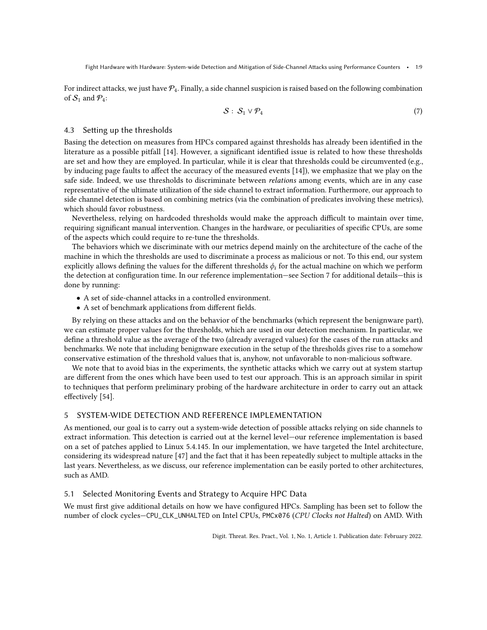For indirect attacks, we just have  $\mathcal{P}_4$ . Finally, a side channel suspicion is raised based on the following combination of  $S_1$  and  $\mathcal{P}_4$ :

<span id="page-8-2"></span>
$$
S: S_1 \vee \mathcal{P}_4 \tag{7}
$$

# <span id="page-8-1"></span>4.3 Setting up the thresholds

Basing the detection on measures from HPCs compared against thresholds has already been identified in the literature as a possible pitfall [\[14\]](#page-21-5). However, a significant identified issue is related to how these thresholds are set and how they are employed. In particular, while it is clear that thresholds could be circumvented (e.g., by inducing page faults to affect the accuracy of the measured events [\[14\]](#page-21-5)), we emphasize that we play on the safe side. Indeed, we use thresholds to discriminate between relations among events, which are in any case representative of the ultimate utilization of the side channel to extract information. Furthermore, our approach to side channel detection is based on combining metrics (via the combination of predicates involving these metrics), which should favor robustness.

Nevertheless, relying on hardcoded thresholds would make the approach difficult to maintain over time, requiring significant manual intervention. Changes in the hardware, or peculiarities of specific CPUs, are some of the aspects which could require to re-tune the thresholds.

The behaviors which we discriminate with our metrics depend mainly on the architecture of the cache of the machine in which the thresholds are used to discriminate a process as malicious or not. To this end, our system explicitly allows defining the values for the different thresholds  $\phi_i$  for the actual machine on which we perform the detection at configuration time. In our reference implementation—see Section [7](#page-13-0) for additional details—this is done by running:

- A set of side-channel attacks in a controlled environment.
- A set of benchmark applications from different fields.

By relying on these attacks and on the behavior of the benchmarks (which represent the benignware part), we can estimate proper values for the thresholds, which are used in our detection mechanism. In particular, we define a threshold value as the average of the two (already averaged values) for the cases of the run attacks and benchmarks. We note that including benignware execution in the setup of the thresholds gives rise to a somehow conservative estimation of the threshold values that is, anyhow, not unfavorable to non-malicious software.

We note that to avoid bias in the experiments, the synthetic attacks which we carry out at system startup are different from the ones which have been used to test our approach. This is an approach similar in spirit to techniques that perform preliminary probing of the hardware architecture in order to carry out an attack effectively [\[54\]](#page-23-17).

# <span id="page-8-0"></span>5 SYSTEM-WIDE DETECTION AND REFERENCE IMPLEMENTATION

As mentioned, our goal is to carry out a system-wide detection of possible attacks relying on side channels to extract information. This detection is carried out at the kernel level—our reference implementation is based on a set of patches applied to Linux 5.4.145. In our implementation, we have targeted the Intel architecture, considering its widespread nature [\[47\]](#page-23-18) and the fact that it has been repeatedly subject to multiple attacks in the last years. Nevertheless, as we discuss, our reference implementation can be easily ported to other architectures, such as AMD.

# 5.1 Selected Monitoring Events and Strategy to Acquire HPC Data

We must first give additional details on how we have configured HPCs. Sampling has been set to follow the number of clock cycles-CPU\_CLK\_UNHALTED on Intel CPUs, PMCx076 (CPU Clocks not Halted) on AMD. With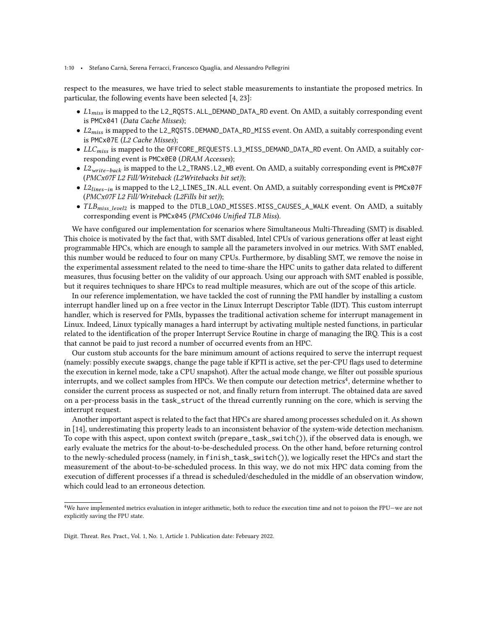#### 1:10 • Stefano Carnà, Serena Ferracci, Francesco Quaglia, and Alessandro Pellegrini

respect to the measures, we have tried to select stable measurements to instantiate the proposed metrics. In particular, the following events have been selected [\[4,](#page-21-13) [23\]](#page-22-19):

- $\bullet$  L1<sub>miss</sub> is mapped to the L2\_RQSTS.ALL\_DEMAND\_DATA\_RD event. On AMD, a suitably corresponding event is PMCx041 (Data Cache Misses);
- $\bullet$   $L2_{miss}$  is mapped to the <code>L2\_RQSTS</code>.DEMAND\_DATA\_RD\_MISS event. On AMD, a suitably corresponding event is PMCx07E (L2 Cache Misses);
- $LLC_{miss}$  is mapped to the OFFCORE\_REQUESTS.L3\_MISS\_DEMAND\_DATA\_RD event. On AMD, a suitably corresponding event is PMCx0E0 (DRAM Accesses);
- L2<sub>write-back</sub> is mapped to the L2\_TRANS.L2\_WB event. On AMD, a suitably corresponding event is PMCx07F (PMCx07F L2 Fill/Writeback (L2Writebacks bit set));
- L2<sub>lines-in</sub> is mapped to the L2\_LINES\_IN.ALL event. On AMD, a suitably corresponding event is PMCx07F (PMCx07F L2 Fill/Writeback (L2Fills bit set));
- $TLB<sub>miss</sub> length$  is mapped to the DTLB\_LOAD\_MISSES.MISS\_CAUSES\_A\_WALK event. On AMD, a suitably corresponding event is PMCx045 (PMCx046 Unified TLB Miss).

We have configured our implementation for scenarios where Simultaneous Multi-Threading (SMT) is disabled. This choice is motivated by the fact that, with SMT disabled, Intel CPUs of various generations offer at least eight programmable HPCs, which are enough to sample all the parameters involved in our metrics. With SMT enabled, this number would be reduced to four on many CPUs. Furthermore, by disabling SMT, we remove the noise in the experimental assessment related to the need to time-share the HPC units to gather data related to different measures, thus focusing better on the validity of our approach. Using our approach with SMT enabled is possible, but it requires techniques to share HPCs to read multiple measures, which are out of the scope of this article.

In our reference implementation, we have tackled the cost of running the PMI handler by installing a custom interrupt handler lined up on a free vector in the Linux Interrupt Descriptor Table (IDT). This custom interrupt handler, which is reserved for PMIs, bypasses the traditional activation scheme for interrupt management in Linux. Indeed, Linux typically manages a hard interrupt by activating multiple nested functions, in particular related to the identification of the proper Interrupt Service Routine in charge of managing the IRQ. This is a cost that cannot be paid to just record a number of occurred events from an HPC.

Our custom stub accounts for the bare minimum amount of actions required to serve the interrupt request (namely: possibly execute swapgs, change the page table if KPTI is active, set the per-CPU flags used to determine the execution in kernel mode, take a CPU snapshot). After the actual mode change, we filter out possible spurious interrupts, and we collect samples from HPCs. We then compute our detection metrics<sup>[4](#page-9-0)</sup>, determine whether to consider the current process as suspected or not, and finally return from interrupt. The obtained data are saved on a per-process basis in the task\_struct of the thread currently running on the core, which is serving the interrupt request.

Another important aspect is related to the fact that HPCs are shared among processes scheduled on it. As shown in [\[14\]](#page-21-5), underestimating this property leads to an inconsistent behavior of the system-wide detection mechanism. To cope with this aspect, upon context switch (prepare\_task\_switch()), if the observed data is enough, we early evaluate the metrics for the about-to-be-descheduled process. On the other hand, before returning control to the newly-scheduled process (namely, in finish\_task\_switch()), we logically reset the HPCs and start the measurement of the about-to-be-scheduled process. In this way, we do not mix HPC data coming from the execution of different processes if a thread is scheduled/descheduled in the middle of an observation window, which could lead to an erroneous detection.

<span id="page-9-0"></span> $4$ We have implemented metrics evaluation in integer arithmetic, both to reduce the execution time and not to poison the FPU—we are not explicitly saving the FPU state.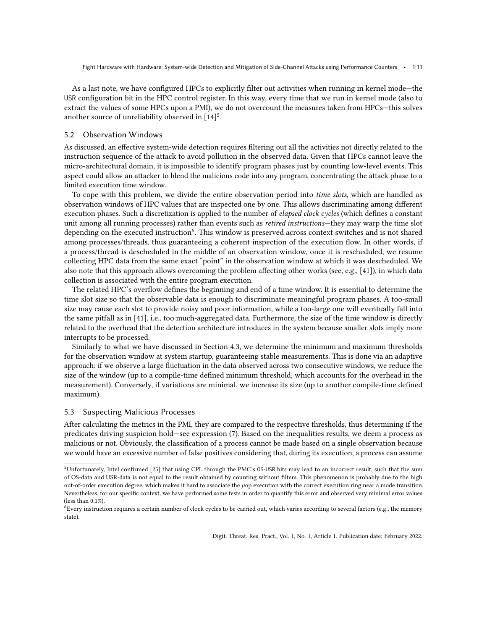As a last note, we have configured HPCs to explicitly filter out activities when running in kernel mode—the USR configuration bit in the HPC control register. In this way, every time that we run in kernel mode (also to extract the values of some HPCs upon a PMI), we do not overcount the measures taken from HPCs—this solves another source of unreliability observed in  $\left[14\right]^{5}$  $\left[14\right]^{5}$  $\left[14\right]^{5}$ .

#### 5.2 Observation Windows

As discussed, an effective system-wide detection requires filtering out all the activities not directly related to the instruction sequence of the attack to avoid pollution in the observed data. Given that HPCs cannot leave the micro-architectural domain, it is impossible to identify program phases just by counting low-level events. This aspect could allow an attacker to blend the malicious code into any program, concentrating the attack phase to a limited execution time window.

To cope with this problem, we divide the entire observation period into time slots, which are handled as observation windows of HPC values that are inspected one by one. This allows discriminating among different execution phases. Such a discretization is applied to the number of elapsed clock cycles (which defines a constant unit among all running processes) rather than events such as retired instructions—they may warp the time slot depending on the executed instruction<sup>[6](#page-10-1)</sup>. This window is preserved across context switches and is not shared among processes/threads, thus guaranteeing a coherent inspection of the execution flow. In other words, if a process/thread is descheduled in the middle of an observation window, once it is rescheduled, we resume collecting HPC data from the same exact "point" in the observation window at which it was descheduled. We also note that this approach allows overcoming the problem affecting other works (see, e.g., [\[41\]](#page-23-19)), in which data collection is associated with the entire program execution.

The related HPC's overflow defines the beginning and end of a time window. It is essential to determine the time slot size so that the observable data is enough to discriminate meaningful program phases. A too-small size may cause each slot to provide noisy and poor information, while a too-large one will eventually fall into the same pitfall as in [\[41\]](#page-23-19), i.e., too much-aggregated data. Furthermore, the size of the time window is directly related to the overhead that the detection architecture introduces in the system because smaller slots imply more interrupts to be processed.

Similarly to what we have discussed in Section [4.3,](#page-8-1) we determine the minimum and maximum thresholds for the observation window at system startup, guaranteeing stable measurements. This is done via an adaptive approach: if we observe a large fluctuation in the data observed across two consecutive windows, we reduce the size of the window (up to a compile-time defined minimum threshold, which accounts for the overhead in the measurement). Conversely, if variations are minimal, we increase its size (up to another compile-time defined maximum).

### 5.3 Suspecting Malicious Processes

After calculating the metrics in the PMI, they are compared to the respective thresholds, thus determining if the predicates driving suspicion hold—see expression [\(7\)](#page-8-2). Based on the inequalities results, we deem a process as malicious or not. Obviously, the classification of a process cannot be made based on a single observation because we would have an excessive number of false positives considering that, during its execution, a process can assume

<span id="page-10-0"></span><sup>5</sup>Unfortunately, Intel confirmed [\[25\]](#page-22-20) that using CPL through the PMC's OS-USR bits may lead to an incorrect result, such that the sum of OS-data and USR-data is not equal to the result obtained by counting without filters. This phenomenon is probably due to the high out-of-order execution degree, which makes it hard to associate the  $\mu$ op execution with the correct execution ring near a mode transition. Nevertheless, for our specific context, we have performed some tests in order to quantify this error and observed very minimal error values (less than 0.1%).

<span id="page-10-1"></span> $6$ Every instruction requires a certain number of clock cycles to be carried out, which varies according to several factors (e.g., the memory state).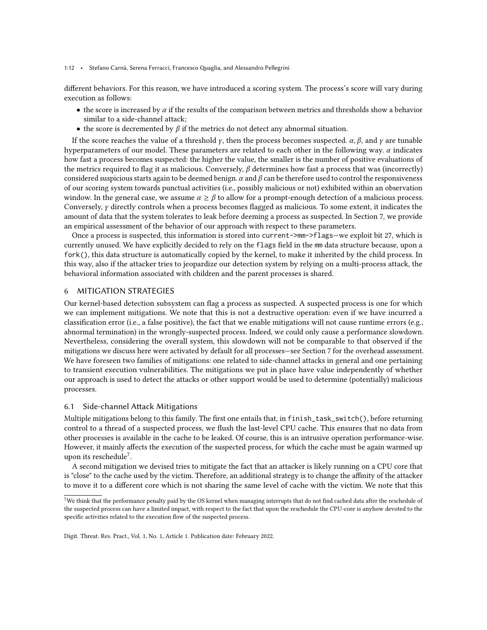1:12 • Stefano Carnà, Serena Ferracci, Francesco Quaglia, and Alessandro Pellegrini

different behaviors. For this reason, we have introduced a scoring system. The process's score will vary during execution as follows:

- the score is increased by  $\alpha$  if the results of the comparison between metrics and thresholds show a behavior similar to a side-channel attack;
- the score is decremented by  $\beta$  if the metrics do not detect any abnormal situation.

If the score reaches the value of a threshold  $\gamma$ , then the process becomes suspected.  $\alpha$ ,  $\beta$ , and  $\gamma$  are tunable hyperparameters of our model. These parameters are related to each other in the following way.  $\alpha$  indicates how fast a process becomes suspected: the higher the value, the smaller is the number of positive evaluations of the metrics required to flag it as malicious. Conversely,  $\beta$  determines how fast a process that was (incorrectly) considered suspicious starts again to be deemed benign.  $\alpha$  and  $\beta$  can be therefore used to control the responsiveness of our scoring system towards punctual activities (i.e., possibly malicious or not) exhibited within an observation window. In the general case, we assume  $\alpha \geq \beta$  to allow for a prompt-enough detection of a malicious process. Conversely,  $\gamma$  directly controls when a process becomes flagged as malicious. To some extent, it indicates the amount of data that the system tolerates to leak before deeming a process as suspected. In Section [7,](#page-13-0) we provide an empirical assessment of the behavior of our approach with respect to these parameters.

Once a process is suspected, this information is stored into current->mm->flags—we exploit bit 27, which is currently unused. We have explicitly decided to rely on the flags field in the mm data structure because, upon a fork(), this data structure is automatically copied by the kernel, to make it inherited by the child process. In this way, also if the attacker tries to jeopardize our detection system by relying on a multi-process attack, the behavioral information associated with children and the parent processes is shared.

### <span id="page-11-0"></span>6 MITIGATION STRATEGIES

Our kernel-based detection subsystem can flag a process as suspected. A suspected process is one for which we can implement mitigations. We note that this is not a destructive operation: even if we have incurred a classification error (i.e., a false positive), the fact that we enable mitigations will not cause runtime errors (e.g., abnormal termination) in the wrongly-suspected process. Indeed, we could only cause a performance slowdown. Nevertheless, considering the overall system, this slowdown will not be comparable to that observed if the mitigations we discuss here were activated by default for all processes—see Section [7](#page-13-0) for the overhead assessment. We have foreseen two families of mitigations: one related to side-channel attacks in general and one pertaining to transient execution vulnerabilities. The mitigations we put in place have value independently of whether our approach is used to detect the attacks or other support would be used to determine (potentially) malicious processes.

### 6.1 Side-channel Attack Mitigations

Multiple mitigations belong to this family. The first one entails that, in finish\_task\_switch(), before returning control to a thread of a suspected process, we flush the last-level CPU cache. This ensures that no data from other processes is available in the cache to be leaked. Of course, this is an intrusive operation performance-wise. However, it mainly affects the execution of the suspected process, for which the cache must be again warmed up upon its reschedule<sup>[7](#page-11-1)</sup>.

A second mitigation we devised tries to mitigate the fact that an attacker is likely running on a CPU core that is "close" to the cache used by the victim. Therefore, an additional strategy is to change the affinity of the attacker to move it to a different core which is not sharing the same level of cache with the victim. We note that this

<span id="page-11-1"></span> $^7\rm{We}$  think that the performance penalty paid by the OS kernel when managing interrupts that do not find cached data after the reschedule of the suspected process can have a limited impact, with respect to the fact that upon the reschedule the CPU-core is anyhow devoted to the specific activities related to the execution flow of the suspected process.

Digit. Threat. Res. Pract., Vol. 1, No. 1, Article 1. Publication date: February 2022.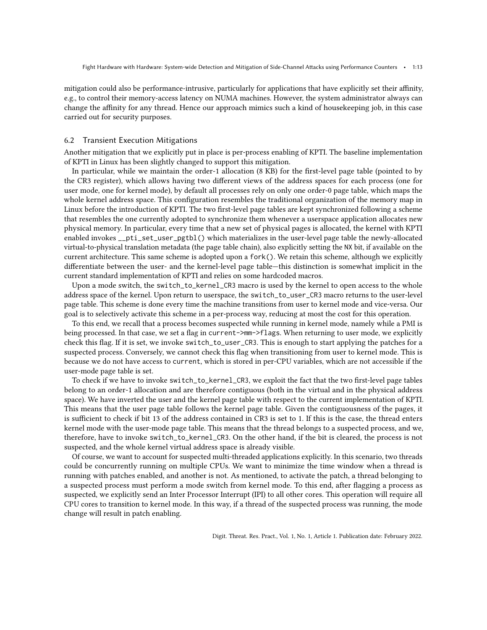mitigation could also be performance-intrusive, particularly for applications that have explicitly set their affinity, e.g., to control their memory-access latency on NUMA machines. However, the system administrator always can change the affinity for any thread. Hence our approach mimics such a kind of housekeeping job, in this case carried out for security purposes.

### 6.2 Transient Execution Mitigations

Another mitigation that we explicitly put in place is per-process enabling of KPTI. The baseline implementation of KPTI in Linux has been slightly changed to support this mitigation.

In particular, while we maintain the order-1 allocation (8 KB) for the first-level page table (pointed to by the CR3 register), which allows having two different views of the address spaces for each process (one for user mode, one for kernel mode), by default all processes rely on only one order-0 page table, which maps the whole kernel address space. This configuration resembles the traditional organization of the memory map in Linux before the introduction of KPTI. The two first-level page tables are kept synchronized following a scheme that resembles the one currently adopted to synchronize them whenever a userspace application allocates new physical memory. In particular, every time that a new set of physical pages is allocated, the kernel with KPTI enabled invokes \_\_pti\_set\_user\_pgtbl() which materializes in the user-level page table the newly-allocated virtual-to-physical translation metadata (the page table chain), also explicitly setting the NX bit, if available on the current architecture. This same scheme is adopted upon a fork(). We retain this scheme, although we explicitly differentiate between the user- and the kernel-level page table—this distinction is somewhat implicit in the current standard implementation of KPTI and relies on some hardcoded macros.

Upon a mode switch, the switch\_to\_kernel\_CR3 macro is used by the kernel to open access to the whole address space of the kernel. Upon return to userspace, the switch\_to\_user\_CR3 macro returns to the user-level page table. This scheme is done every time the machine transitions from user to kernel mode and vice-versa. Our goal is to selectively activate this scheme in a per-process way, reducing at most the cost for this operation.

To this end, we recall that a process becomes suspected while running in kernel mode, namely while a PMI is being processed. In that case, we set a flag in current->mm->flags. When returning to user mode, we explicitly check this flag. If it is set, we invoke switch\_to\_user\_CR3. This is enough to start applying the patches for a suspected process. Conversely, we cannot check this flag when transitioning from user to kernel mode. This is because we do not have access to current, which is stored in per-CPU variables, which are not accessible if the user-mode page table is set.

To check if we have to invoke switch\_to\_kernel\_CR3, we exploit the fact that the two first-level page tables belong to an order-1 allocation and are therefore contiguous (both in the virtual and in the physical address space). We have inverted the user and the kernel page table with respect to the current implementation of KPTI. This means that the user page table follows the kernel page table. Given the contiguousness of the pages, it is sufficient to check if bit 13 of the address contained in CR3 is set to 1. If this is the case, the thread enters kernel mode with the user-mode page table. This means that the thread belongs to a suspected process, and we, therefore, have to invoke switch\_to\_kernel\_CR3. On the other hand, if the bit is cleared, the process is not suspected, and the whole kernel virtual address space is already visible.

Of course, we want to account for suspected multi-threaded applications explicitly. In this scenario, two threads could be concurrently running on multiple CPUs. We want to minimize the time window when a thread is running with patches enabled, and another is not. As mentioned, to activate the patch, a thread belonging to a suspected process must perform a mode switch from kernel mode. To this end, after flagging a process as suspected, we explicitly send an Inter Processor Interrupt (IPI) to all other cores. This operation will require all CPU cores to transition to kernel mode. In this way, if a thread of the suspected process was running, the mode change will result in patch enabling.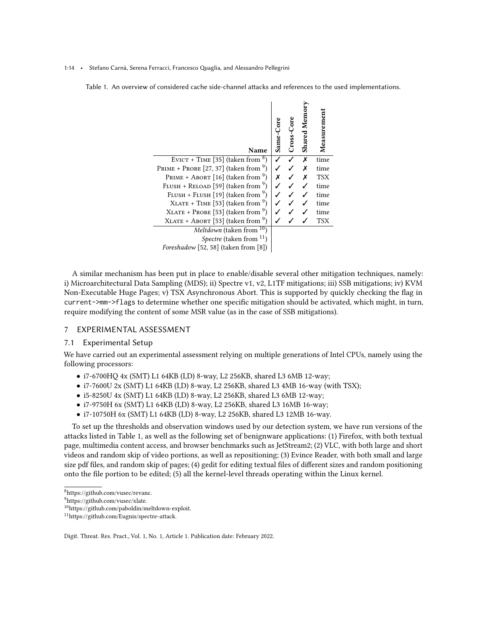#### <span id="page-13-2"></span>1:14 • Stefano Carnà, Serena Ferracci, Francesco Quaglia, and Alessandro Pellegrini

Table 1. An overview of considered cache side-channel attacks and references to the used implementations.

 $\overline{1}$ 

 $\triangleright$ 

| Name                                            | Same- | Cross-Core | <b>Shared Mem</b> | Measurement |
|-------------------------------------------------|-------|------------|-------------------|-------------|
| EVICT + TIME [35] (taken from $8$ )             |       |            | X                 | time        |
| PRIME + PROBE [27, 37] (taken from $9$ )        |       |            |                   | time        |
| PRIME + ABORT [16] (taken from $9$ )            |       |            |                   | <b>TSX</b>  |
| FLUSH + RELOAD [59] (taken from $\frac{9}{2}$ ) |       |            |                   | time        |
| FLUSH + FLUSH [19] (taken from $9$ )            |       |            |                   | time        |
| $XLATE + TIME [53] (taken from 9)$              |       |            |                   | time        |
| $XLATE + PROBE$ [53] (taken from <sup>9</sup> ) |       |            |                   | time        |
| $XLATE + ABORT$ [53] (taken from $9$ )          |       |            |                   | <b>TSX</b>  |
| <i>Meltdown</i> (taken from $10$ )              |       |            |                   |             |
| <i>Spectre</i> (taken from $^{11}$ )            |       |            |                   |             |
| Foreshadow [52, 58] (taken from [8])            |       |            |                   |             |

A similar mechanism has been put in place to enable/disable several other mitigation techniques, namely: i) Microarchitectural Data Sampling (MDS); ii) Spectre v1, v2, L1TF mitigations; iii) SSB mitigations; iv) KVM Non-Executable Huge Pages; v) TSX Asynchronous Abort. This is supported by quickly checking the flag in current->mm->flags to determine whether one specific mitigation should be activated, which might, in turn, require modifying the content of some MSR value (as in the case of SSB mitigations).

### <span id="page-13-0"></span>7 EXPERIMENTAL ASSESSMENT

#### 7.1 Experimental Setup

We have carried out an experimental assessment relying on multiple generations of Intel CPUs, namely using the following processors:

- i7-6700HQ 4x (SMT) L1 64KB (I,D) 8-way, L2 256KB, shared L3 6MB 12-way;
- $i7-7600U$  2x (SMT) L1 64KB (I,D) 8-way, L2 256KB, shared L3 4MB 16-way (with TSX);
- i5-8250U 4x (SMT) L1 64KB (I,D) 8-way, L2 256KB, shared L3 6MB 12-way;
- i7-9750H 6x (SMT) L1 64KB (I,D) 8-way, L2 256KB, shared L3 16MB 16-way;
- i7-10750H 6x (SMT) L1 64KB (I,D) 8-way, L2 256KB, shared L3 12MB 16-way.

To set up the thresholds and observation windows used by our detection system, we have run versions of the attacks listed in Table [1,](#page-13-2) as well as the following set of benignware applications: (1) Firefox, with both textual page, multimedia content access, and browser benchmarks such as JetStream2; (2) VLC, with both large and short videos and random skip of video portions, as well as repositioning; (3) Evince Reader, with both small and large size pdf files, and random skip of pages; (4) gedit for editing textual files of different sizes and random positioning onto the file portion to be edited; (5) all the kernel-level threads operating within the Linux kernel.

<span id="page-13-1"></span><sup>8</sup>[https://github.com/vusec/revanc.](https://github.com/vusec/revanc)

<sup>9</sup>[https://github.com/vusec/xlate.](https://github.com/vusec/xlate)

<sup>10</sup>[https://github.com/paboldin/meltdown-exploit.](https://github.com/paboldin/meltdown-exploit)

<sup>11</sup>[https://github.com/Eugnis/spectre-attack.](https://github.com/Eugnis/spectre-attack)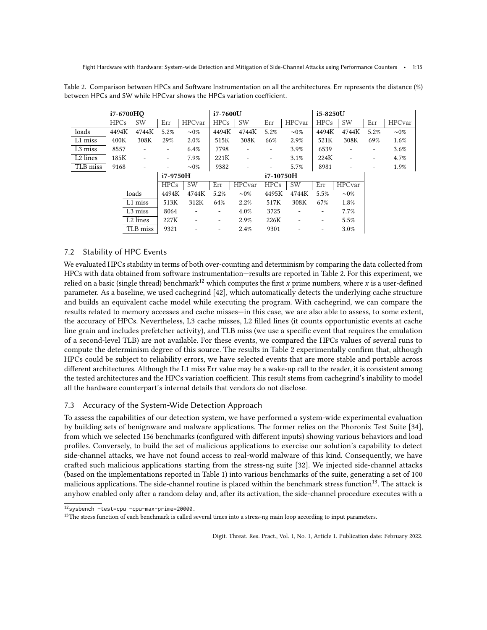<span id="page-14-0"></span>Table 2. Comparison between HPCs and Software Instrumentation on all the architectures. Err represents the distance (%) between HPCs and SW while HPCvar shows the HPCs variation coefficient.

|                      | i7-6700HO |                          |             | i7-7600U                 |             |                          | i5-8250U    |                          |                          |                          |      |                |
|----------------------|-----------|--------------------------|-------------|--------------------------|-------------|--------------------------|-------------|--------------------------|--------------------------|--------------------------|------|----------------|
|                      | HPCs      | <b>SW</b>                | Err         | <b>HPC</b> var           | <b>HPCs</b> | <b>SW</b>                | Err         | <b>HPC</b> var           | <b>HPCs</b>              | <b>SW</b>                | Err  | <b>HPC</b> var |
| loads                | 4494K     | 4744K                    | 5.2%        | $\sim 0\%$               | 4494K       | 4744K                    | 5.2%        | $\sim 0\%$               | 4494K                    | 4744K                    | 5.2% | $\sim 0\%$     |
| L1 miss              | 400K      | 308K                     | 29%         | 2.0%                     | 515K        | 308K                     | 66%         | 2.9%                     | 521K                     | 308K                     | 69%  | 1.6%           |
| L <sub>3</sub> miss  | 8557      | $\overline{\phantom{a}}$ | ٠           | 6.4%                     | 7798        |                          |             | 3.9%                     | 6539                     |                          | -    | 3.6%           |
| L <sub>2</sub> lines | 185K      | $\overline{\phantom{a}}$ | -           | 7.9%                     | 221K        | $\overline{\phantom{a}}$ | -           | 3.1%                     | 224K                     | $\overline{\phantom{a}}$ | ۰    | 4.7%           |
| TLB miss             | 9168      | $\overline{\phantom{a}}$ |             | $\sim 0\%$               | 9382        | ٠                        | ٠           | 5.7%                     | 8981                     |                          |      | 1.9%           |
|                      |           |                          | i7-9750H    |                          |             |                          | i7-10750H   |                          |                          |                          |      |                |
|                      |           |                          | <b>HPCs</b> | <b>SW</b>                | Err         | <b>HPC</b> var           | <b>HPCs</b> | <b>SW</b>                | Err                      | <b>HPC</b> var           |      |                |
|                      |           | loads                    | 4494K       | 4744K                    | 5.2%        | $\sim 0\%$               | 4495K       | 4744K                    | 5.5%                     | $\sim 0\%$               |      |                |
|                      |           | L1 miss                  | 513K        | 312K                     | 64%         | 2.2%                     | 517K        | 308K                     | 67%                      | 1.8%                     |      |                |
|                      |           | L <sub>3</sub> miss      | 8064        | $\overline{\phantom{a}}$ | ۰.          | 4.0%                     | 3725        | -                        | -                        | 7.7%                     |      |                |
|                      |           | L <sub>2</sub> lines     | 227K        | -                        | -           | 2.9%                     | 226K        | $\overline{\phantom{a}}$ | $\overline{\phantom{a}}$ | 5.5%                     |      |                |
|                      |           | TLB miss                 | 9321        |                          |             | 2.4%                     | 9301        | -                        | -                        | 3.0%                     |      |                |

# 7.2 Stability of HPC Events

We evaluated HPCs stability in terms of both over-counting and determinism by comparing the data collected from HPCs with data obtained from software instrumentation—results are reported in Table [2.](#page-14-0) For this experiment, we relied on a basic (single thread) benchmark<sup>[12](#page-14-1)</sup> which computes the first x prime numbers, where x is a user-defined parameter. As a baseline, we used cachegrind [\[42\]](#page-23-20), which automatically detects the underlying cache structure and builds an equivalent cache model while executing the program. With cachegrind, we can compare the results related to memory accesses and cache misses—in this case, we are also able to assess, to some extent, the accuracy of HPCs. Nevertheless, L3 cache misses, L2 filled lines (it counts opportunistic events at cache line grain and includes prefetcher activity), and TLB miss (we use a specific event that requires the emulation of a second-level TLB) are not available. For these events, we compared the HPCs values of several runs to compute the determinism degree of this source. The results in Table [2](#page-14-0) experimentally confirm that, although HPCs could be subject to reliability errors, we have selected events that are more stable and portable across different architectures. Although the L1 miss Err value may be a wake-up call to the reader, it is consistent among the tested architectures and the HPCs variation coefficient. This result stems from cachegrind's inability to model all the hardware counterpart's internal details that vendors do not disclose.

# 7.3 Accuracy of the System-Wide Detection Approach

To assess the capabilities of our detection system, we have performed a system-wide experimental evaluation by building sets of benignware and malware applications. The former relies on the Phoronix Test Suite [\[34\]](#page-22-9), from which we selected 156 benchmarks (configured with different inputs) showing various behaviors and load profiles. Conversely, to build the set of malicious applications to exercise our solution's capability to detect side-channel attacks, we have not found access to real-world malware of this kind. Consequently, we have crafted such malicious applications starting from the stress-ng suite [\[32\]](#page-22-23). We injected side-channel attacks (based on the implementations reported in Table [1\)](#page-13-2) into various benchmarks of the suite, generating a set of 100 malicious applications. The side-channel routine is placed within the benchmark stress function<sup>[13](#page-14-2)</sup>. The attack is anyhow enabled only after a random delay and, after its activation, the side-channel procedure executes with a

<span id="page-14-1"></span><sup>12</sup>sysbench –test=cpu –cpu-max-prime=20000.

<span id="page-14-2"></span> $13$ The stress function of each benchmark is called several times into a stress-ng main loop according to input parameters.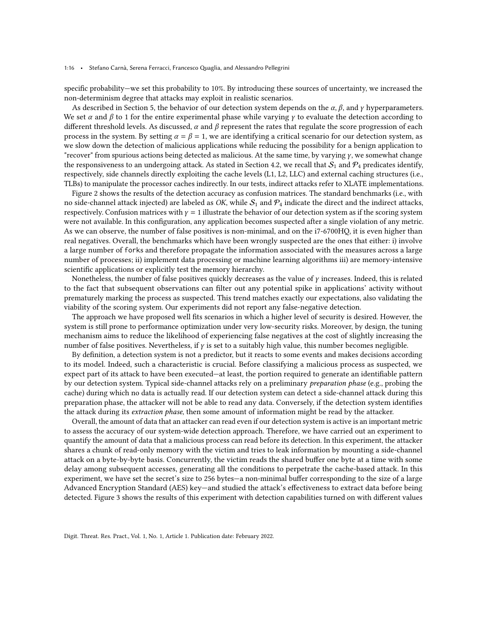#### 1:16 • Stefano Carnà, Serena Ferracci, Francesco Quaglia, and Alessandro Pellegrini

specific probability—we set this probability to 10%. By introducing these sources of uncertainty, we increased the non-determinism degree that attacks may exploit in realistic scenarios.

As described in Section [5,](#page-8-0) the behavior of our detection system depends on the  $\alpha$ ,  $\beta$ , and  $\gamma$  hyperparameters. We set  $\alpha$  and  $\beta$  to 1 for the entire experimental phase while varying  $\gamma$  to evaluate the detection according to different threshold levels. As discussed,  $\alpha$  and  $\beta$  represent the rates that regulate the score progression of each process in the system. By setting  $\alpha = \beta = 1$ , we are identifying a critical scenario for our detection system, as we slow down the detection of malicious applications while reducing the possibility for a benign application to "recover" from spurious actions being detected as malicious. At the same time, by varying  $\gamma$ , we somewhat change the responsiveness to an undergoing attack. As stated in Section [4.2,](#page-6-1) we recall that  $S_1$  and  $\mathcal{P}_4$  predicates identify, respectively, side channels directly exploiting the cache levels (L1, L2, LLC) and external caching structures (i.e., TLBs) to manipulate the processor caches indirectly. In our tests, indirect attacks refer to XLATE implementations.

Figure [2](#page-16-0) shows the results of the detection accuracy as confusion matrices. The standard benchmarks (i.e., with no side-channel attack injected) are labeled as OK, while  $S_1$  and  $P_4$  indicate the direct and the indirect attacks, respectively. Confusion matrices with  $\gamma = 1$  illustrate the behavior of our detection system as if the scoring system were not available. In this configuration, any application becomes suspected after a single violation of any metric. As we can observe, the number of false positives is non-minimal, and on the i7-6700HQ, it is even higher than real negatives. Overall, the benchmarks which have been wrongly suspected are the ones that either: i) involve a large number of forks and therefore propagate the information associated with the measures across a large number of processes; ii) implement data processing or machine learning algorithms iii) are memory-intensive scientific applications or explicitly test the memory hierarchy.

Nonetheless, the number of false positives quickly decreases as the value of  $\gamma$  increases. Indeed, this is related to the fact that subsequent observations can filter out any potential spike in applications' activity without prematurely marking the process as suspected. This trend matches exactly our expectations, also validating the viability of the scoring system. Our experiments did not report any false-negative detection.

The approach we have proposed well fits scenarios in which a higher level of security is desired. However, the system is still prone to performance optimization under very low-security risks. Moreover, by design, the tuning mechanism aims to reduce the likelihood of experiencing false negatives at the cost of slightly increasing the number of false positives. Nevertheless, if  $\gamma$  is set to a suitably high value, this number becomes negligible.

By definition, a detection system is not a predictor, but it reacts to some events and makes decisions according to its model. Indeed, such a characteristic is crucial. Before classifying a malicious process as suspected, we expect part of its attack to have been executed—at least, the portion required to generate an identifiable pattern by our detection system. Typical side-channel attacks rely on a preliminary *preparation phase* (e.g., probing the cache) during which no data is actually read. If our detection system can detect a side-channel attack during this preparation phase, the attacker will not be able to read any data. Conversely, if the detection system identifies the attack during its extraction phase, then some amount of information might be read by the attacker.

Overall, the amount of data that an attacker can read even if our detection system is active is an important metric to assess the accuracy of our system-wide detection approach. Therefore, we have carried out an experiment to quantify the amount of data that a malicious process can read before its detection. In this experiment, the attacker shares a chunk of read-only memory with the victim and tries to leak information by mounting a side-channel attack on a byte-by-byte basis. Concurrently, the victim reads the shared buffer one byte at a time with some delay among subsequent accesses, generating all the conditions to perpetrate the cache-based attack. In this experiment, we have set the secret's size to 256 bytes—a non-minimal buffer corresponding to the size of a large Advanced Encryption Standard (AES) key—and studied the attack's effectiveness to extract data before being detected. Figure [3](#page-18-0) shows the results of this experiment with detection capabilities turned on with different values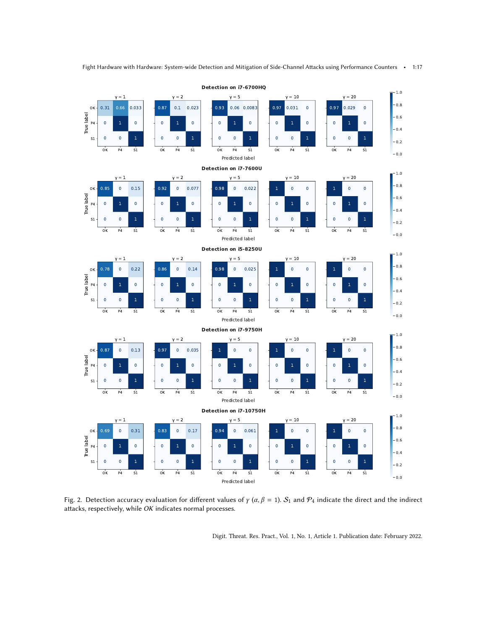<span id="page-16-0"></span>

Fig. 2. Detection accuracy evaluation for different values of  $\gamma$  ( $\alpha, \beta = 1$ ).  $S_1$  and  $P_4$  indicate the direct and the indirect attacks, respectively, while OK indicates normal processes.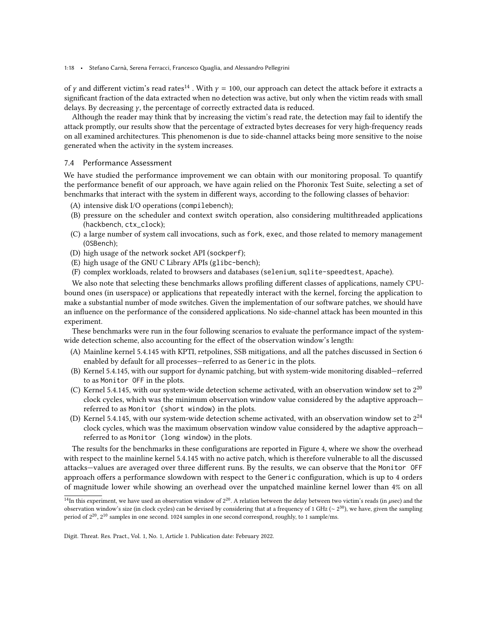1:18 • Stefano Carnà, Serena Ferracci, Francesco Quaglia, and Alessandro Pellegrini

of  $\gamma$  and different victim's read rates<sup>[14](#page-17-0)</sup>. With  $\gamma = 100$ , our approach can detect the attack before it extracts a significant fraction of the data extracted when no detection was active, but only when the victim reads with small delays. By decreasing  $\gamma$ , the percentage of correctly extracted data is reduced.

Although the reader may think that by increasing the victim's read rate, the detection may fail to identify the attack promptly, our results show that the percentage of extracted bytes decreases for very high-frequency reads on all examined architectures. This phenomenon is due to side-channel attacks being more sensitive to the noise generated when the activity in the system increases.

### 7.4 Performance Assessment

We have studied the performance improvement we can obtain with our monitoring proposal. To quantify the performance benefit of our approach, we have again relied on the Phoronix Test Suite, selecting a set of benchmarks that interact with the system in different ways, according to the following classes of behavior:

- (A) intensive disk I/O operations (compilebench);
- (B) pressure on the scheduler and context switch operation, also considering multithreaded applications (hackbench, ctx\_clock);
- (C) a large number of system call invocations, such as fork, exec, and those related to memory management (OSBench);
- (D) high usage of the network socket API (sockperf);
- (E) high usage of the GNU C Library APIs (glibc-bench);
- (F) complex workloads, related to browsers and databases (selenium, sqlite-speedtest, Apache).

We also note that selecting these benchmarks allows profiling different classes of applications, namely CPUbound ones (in userspace) or applications that repeatedly interact with the kernel, forcing the application to make a substantial number of mode switches. Given the implementation of our software patches, we should have an influence on the performance of the considered applications. No side-channel attack has been mounted in this experiment.

These benchmarks were run in the four following scenarios to evaluate the performance impact of the systemwide detection scheme, also accounting for the effect of the observation window's length:

- (A) Mainline kernel 5.4.145 with KPTI, retpolines, SSB mitigations, and all the patches discussed in Section [6](#page-11-0) enabled by default for all processes—referred to as Generic in the plots.
- (B) Kernel 5.4.145, with our support for dynamic patching, but with system-wide monitoring disabled—referred to as Monitor OFF in the plots.
- (C) Kernel 5.4.145, with our system-wide detection scheme activated, with an observation window set to  $2^{20}$ clock cycles, which was the minimum observation window value considered by the adaptive approach referred to as Monitor (short window) in the plots.
- (D) Kernel 5.4.145, with our system-wide detection scheme activated, with an observation window set to  $2^{24}$ clock cycles, which was the maximum observation window value considered by the adaptive approach referred to as Monitor (long window) in the plots.

The results for the benchmarks in these configurations are reported in Figure [4,](#page-19-0) where we show the overhead with respect to the mainline kernel 5.4.145 with no active patch, which is therefore vulnerable to all the discussed attacks—values are averaged over three different runs. By the results, we can observe that the Monitor OFF approach offers a performance slowdown with respect to the Generic configuration, which is up to 4 orders of magnitude lower while showing an overhead over the unpatched mainline kernel lower than 4% on all

<span id="page-17-0"></span><sup>&</sup>lt;sup>14</sup>In this experiment, we have used an observation window of  $2^{20}$ . A relation between the delay between two victim's reads (in *usec*) and the observation window's size (in clock cycles) can be devised by considering that at a frequency of 1 GHz ( $\sim 2^{30}$ ), we have, given the sampling period of 2 20 , 2 <sup>10</sup> samples in one second. 1024 samples in one second correspond, roughly, to 1 sample/ms.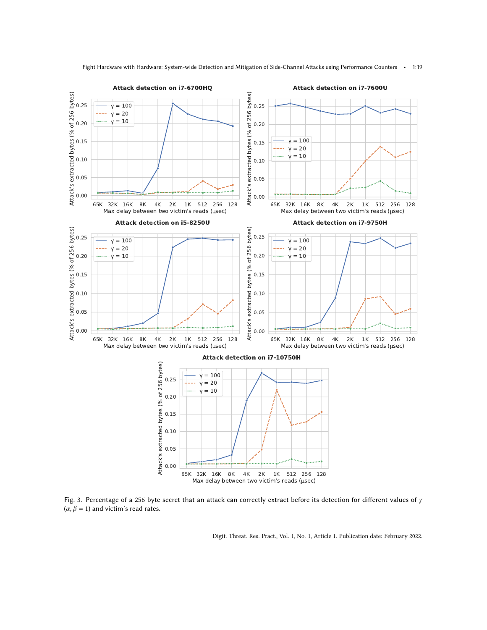<span id="page-18-0"></span>

Fight Hardware with Hardware: System-wide Detection and Mitigation of Side-Channel Attacks using Performance Counters • 1:19

Fig. 3. Percentage of a 256-byte secret that an attack can correctly extract before its detection for different values of  $\gamma$  $(\alpha, \beta = 1)$  and victim's read rates.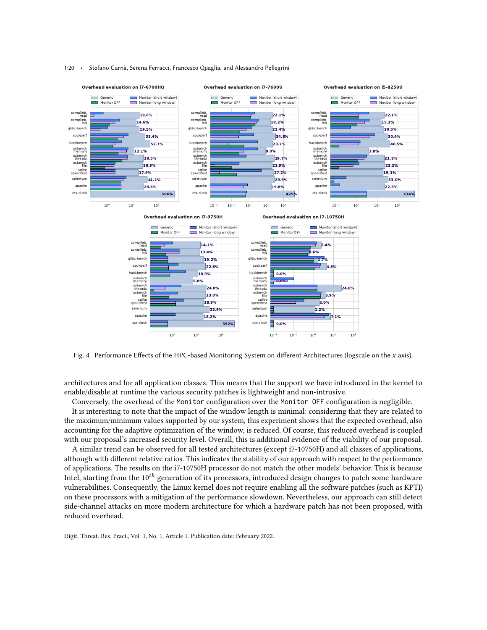

#### <span id="page-19-0"></span>1:20 • Stefano Carnà, Serena Ferracci, Francesco Quaglia, and Alessandro Pellegrini

Fig. 4. Performance Effects of the HPC-based Monitoring System on different Architectures (logscale on the  $x$  axis).

architectures and for all application classes. This means that the support we have introduced in the kernel to enable/disable at runtime the various security patches is lightweight and non-intrusive.

Conversely, the overhead of the Monitor configuration over the Monitor OFF configuration is negligible. It is interesting to note that the impact of the window length is minimal: considering that they are related to the maximum/minimum values supported by our system, this experiment shows that the expected overhead, also accounting for the adaptive optimization of the window, is reduced. Of course, this reduced overhead is coupled with our proposal's increased security level. Overall, this is additional evidence of the viability of our proposal.

A similar trend can be observed for all tested architectures (except i7-10750H) and all classes of applications, although with different relative ratios. This indicates the stability of our approach with respect to the performance of applications. The results on the i7-10750H processor do not match the other models' behavior. This is because Intel, starting from the  $10^{th}$  generation of its processors, introduced design changes to patch some hardware vulnerabilities. Consequently, the Linux kernel does not require enabling all the software patches (such as KPTI) on these processors with a mitigation of the performance slowdown. Nevertheless, our approach can still detect side-channel attacks on more modern architecture for which a hardware patch has not been proposed, with reduced overhead.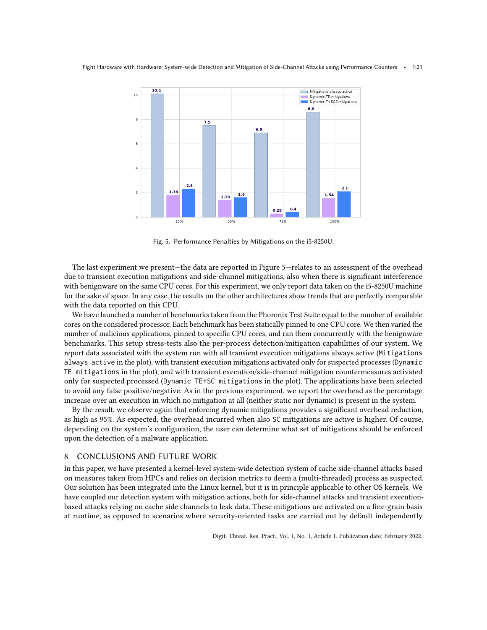<span id="page-20-1"></span>

Fig. 5. Performance Penalties by Mitigations on the i5-8250U.

The last experiment we present—the data are reported in Figure [5—](#page-20-1)relates to an assessment of the overhead due to transient execution mitigations and side-channel mitigations, also when there is significant interference with benignware on the same CPU cores. For this experiment, we only report data taken on the i5-8250U machine for the sake of space. In any case, the results on the other architectures show trends that are perfectly comparable with the data reported on this CPU.

We have launched a number of benchmarks taken from the Phoronix Test Suite equal to the number of available cores on the considered processor. Each benchmark has been statically pinned to one CPU core. We then varied the number of malicious applications, pinned to specific CPU cores, and ran them concurrently with the benignware benchmarks. This setup stress-tests also the per-process detection/mitigation capabilities of our system. We report data associated with the system run with all transient execution mitigations always active (Mitigations always active in the plot), with transient execution mitigations activated only for suspected processes (Dynamic TE mitigations in the plot), and with transient execution/side-channel mitigation countermeasures activated only for suspected processed (Dynamic TE+SC mitigations in the plot). The applications have been selected to avoid any false positive/negative. As in the previous experiment, we report the overhead as the percentage increase over an execution in which no mitigation at all (neither static nor dynamic) is present in the system.

By the result, we observe again that enforcing dynamic mitigations provides a significant overhead reduction, as high as 95%. As expected, the overhead incurred when also SC mitigations are active is higher. Of course, depending on the system's configuration, the user can determine what set of mitigations should be enforced upon the detection of a malware application.

# <span id="page-20-0"></span>8 CONCLUSIONS AND FUTURE WORK

In this paper, we have presented a kernel-level system-wide detection system of cache side-channel attacks based on measures taken from HPCs and relies on decision metrics to deem a (multi-threaded) process as suspected. Our solution has been integrated into the Linux kernel, but it is in principle applicable to other OS kernels. We have coupled our detection system with mitigation actions, both for side-channel attacks and transient executionbased attacks relying on cache side channels to leak data. These mitigations are activated on a fine-grain basis at runtime, as opposed to scenarios where security-oriented tasks are carried out by default independently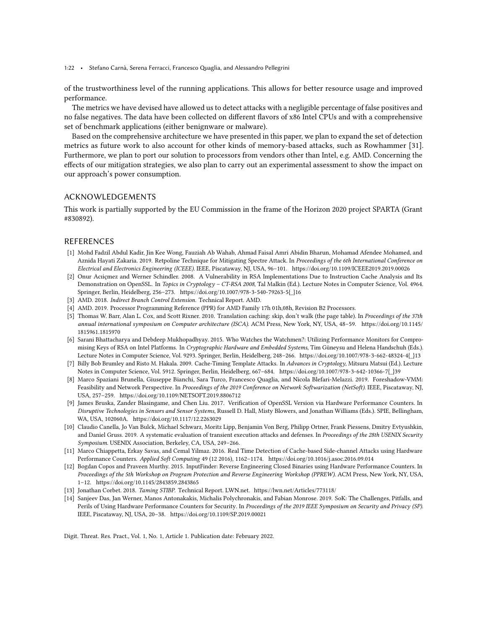1:22 • Stefano Carnà, Serena Ferracci, Francesco Quaglia, and Alessandro Pellegrini

of the trustworthiness level of the running applications. This allows for better resource usage and improved performance.

The metrics we have devised have allowed us to detect attacks with a negligible percentage of false positives and no false negatives. The data have been collected on different flavors of x86 Intel CPUs and with a comprehensive set of benchmark applications (either benignware or malware).

Based on the comprehensive architecture we have presented in this paper, we plan to expand the set of detection metrics as future work to also account for other kinds of memory-based attacks, such as Rowhammer [\[31\]](#page-22-24). Furthermore, we plan to port our solution to processors from vendors other than Intel, e.g. AMD. Concerning the effects of our mitigation strategies, we also plan to carry out an experimental assessment to show the impact on our approach's power consumption.

# ACKNOWLEDGEMENTS

This work is partially supported by the EU Commission in the frame of the Horizon 2020 project SPARTA (Grant #830892).

# REFERENCES

- <span id="page-21-4"></span>[1] Mohd Fadzil Abdul Kadir, Jin Kee Wong, Fauziah Ab Wahab, Ahmad Faisal Amri Abidin Bharun, Mohamad Afendee Mohamed, and Aznida Hayati Zakaria. 2019. Retpoline Technique for Mitigating Spectre Attack. In Proceedings of the 6th International Conference on Electrical and Electronics Engineering (ICEEE). IEEE, Piscataway, NJ, USA, 96–101.<https://doi.org/10.1109/ICEEE2019.2019.00026>
- <span id="page-21-2"></span>[2] Onur Acıiçmez and Werner Schindler. 2008. A Vulnerability in RSA Implementations Due to Instruction Cache Analysis and Its Demonstration on OpenSSL. In Topics in Cryptology - CT-RSA 2008, Tal Malkin (Ed.). Lecture Notes in Computer Science, Vol. 4964. Springer, Berlin, Heidelberg, 256–273. [https://doi.org/10.1007/978-3-540-79263-5{\\_}16](https://doi.org/10.1007/978-3-540-79263-5{_}16)
- <span id="page-21-10"></span>[3] AMD. 2018. Indirect Branch Control Extension. Technical Report. AMD.
- <span id="page-21-13"></span>[4] AMD. 2019. Processor Programming Reference (PPR) for AMD Family 17h 01h,08h, Revision B2 Processors.
- <span id="page-21-12"></span>[5] Thomas W. Barr, Alan L. Cox, and Scott Rixner. 2010. Translation caching: skip, don't walk (the page table). In Proceedings of the 37th annual international symposium on Computer architecture (ISCA). ACM Press, New York, NY, USA, 48–59. [https://doi.org/10.1145/](https://doi.org/10.1145/1815961.1815970) [1815961.1815970](https://doi.org/10.1145/1815961.1815970)
- <span id="page-21-8"></span>[6] Sarani Bhattacharya and Debdeep Mukhopadhyay. 2015. Who Watches the Watchmen?: Utilizing Performance Monitors for Compromising Keys of RSA on Intel Platforms. In Cryptographic Hardware and Embedded Systems, Tim Güneysu and Helena Handschuh (Eds.). Lecture Notes in Computer Science, Vol. 9293. Springer, Berlin, Heidelberg, 248–266. [https://doi.org/10.1007/978-3-662-48324-4{\\_}13](https://doi.org/10.1007/978-3-662-48324-4{_}13)
- <span id="page-21-3"></span>[7] Billy Bob Brumley and Risto M. Hakala. 2009. Cache-Timing Template Attacks. In Advances in Cryptology, Mitsuru Matsui (Ed.). Lecture Notes in Computer Science, Vol. 5912. Springer, Berlin, Heidelberg, 667–684. [https://doi.org/10.1007/978-3-642-10366-7{\\_}39](https://doi.org/10.1007/978-3-642-10366-7{_}39)
- <span id="page-21-0"></span>[8] Marco Spaziani Brunella, Giuseppe Bianchi, Sara Turco, Francesco Quaglia, and Nicola Blefari-Melazzi. 2019. Foreshadow-VMM: Feasibility and Network Perspective. In Proceedings of the 2019 Conference on Network Softwarization (NetSoft). IEEE, Piscataway, NJ, USA, 257–259.<https://doi.org/10.1109/NETSOFT.2019.8806712>
- <span id="page-21-6"></span>[9] James Bruska, Zander Blasingame, and Chen Liu. 2017. Verification of OpenSSL Version via Hardware Performance Counters. In Disruptive Technologies in Sensors and Sensor Systems, Russell D. Hall, Misty Blowers, and Jonathan Williams (Eds.). SPIE, Bellingham, WA, USA, 102060A.<https://doi.org/10.1117/12.2263029>
- <span id="page-21-1"></span>[10] Claudio Canella, Jo Van Bulck, Michael Schwarz, Moritz Lipp, Benjamin Von Berg, Philipp Ortner, Frank Piessens, Dmitry Evtyushkin, and Daniel Gruss. 2019. A systematic evaluation of transient execution attacks and defenses. In Proceedings of the 28th USENIX Security Symposium. USENIX Association, Berkeley, CA, USA, 249–266.
- <span id="page-21-9"></span>[11] Marco Chiappetta, Erkay Savas, and Cemal Yilmaz. 2016. Real Time Detection of Cache-based Side-channel Attacks using Hardware Performance Counters. Applied Soft Computing 49 (12 2016), 1162–1174.<https://doi.org/10.1016/j.asoc.2016.09.014>
- <span id="page-21-7"></span>[12] Bogdan Copos and Praveen Murthy. 2015. InputFinder: Reverse Engineering Closed Binaries using Hardware Performance Counters. In Proceedings of the 5th Workshop on Program Protection and Reverse Engineering Workshop (PPREW). ACM Press, New York, NY, USA, 1–12.<https://doi.org/10.1145/2843859.2843865>
- <span id="page-21-11"></span>[13] Jonathan Corbet. 2018. Taming STIBP. Technical Report. LWN.net.<https://lwn.net/Articles/773118/>
- <span id="page-21-5"></span>[14] Sanjeev Das, Jan Werner, Manos Antonakakis, Michalis Polychronakis, and Fabian Monrose. 2019. SoK: The Challenges, Pitfalls, and Perils of Using Hardware Performance Counters for Security. In Proceedings of the 2019 IEEE Symposium on Security and Privacy (SP). IEEE, Piscataway, NJ, USA, 20–38.<https://doi.org/10.1109/SP.2019.00021>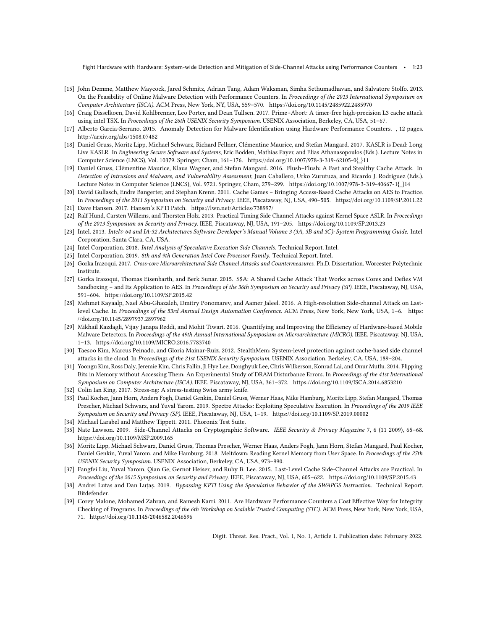Fight Hardware with Hardware: System-wide Detection and Mitigation of Side-Channel Attacks using Performance Counters • 1:23

- <span id="page-22-13"></span>[15] John Demme, Matthew Maycock, Jared Schmitz, Adrian Tang, Adam Waksman, Simha Sethumadhavan, and Salvatore Stolfo. 2013. On the Feasibility of Online Malware Detection with Performance Counters. In Proceedings of the 2013 International Symposium on Computer Architecture (ISCA). ACM Press, New York, NY, USA, 559–570.<https://doi.org/10.1145/2485922.2485970>
- <span id="page-22-0"></span>[16] Craig Disselkoen, David Kohlbrenner, Leo Porter, and Dean Tullsen. 2017. Prime+Abort: A timer-free high-precision L3 cache attack using intel TSX. In Proceedings of the 26th USENIX Security Symposium. USENIX Association, Berkeley, CA, USA, 51–67.
- <span id="page-22-14"></span>[17] Alberto Garcia-Serrano. 2015. Anomaly Detection for Malware Identification using Hardware Performance Counters. , 12 pages. <http://arxiv.org/abs/1508.07482>
- <span id="page-22-7"></span>[18] Daniel Gruss, Moritz Lipp, Michael Schwarz, Richard Fellner, Clémentine Maurice, and Stefan Mangard. 2017. KASLR is Dead: Long Live KASLR. In Engineering Secure Software and Systems, Eric Bodden, Mathias Payer, and Elias Athanasopoulos (Eds.). Lecture Notes in Computer Science (LNCS), Vol. 10379. Springer, Cham, 161–176. [https://doi.org/10.1007/978-3-319-62105-0{\\_}11](https://doi.org/10.1007/978-3-319-62105-0{_}11)
- <span id="page-22-22"></span>[19] Daniel Gruss, Clémentine Maurice, Klaus Wagner, and Stefan Mangard. 2016. Flush+Flush: A Fast and Stealthy Cache Attack. In Detection of Intrusions and Malware, and Vulnerability Assessment, Juan Caballero, Urko Zurutuza, and Ricardo J. Rodríguez (Eds.). Lecture Notes in Computer Science (LNCS), Vol. 9721. Springer, Cham, 279–299. [https://doi.org/10.1007/978-3-319-40667-1{\\_}14](https://doi.org/10.1007/978-3-319-40667-1{_}14)
- <span id="page-22-11"></span>[20] David Gullasch, Endre Bangerter, and Stephan Krenn. 2011. Cache Games – Bringing Access-Based Cache Attacks on AES to Practice. In Proceedings of the 2011 Symposium on Security and Privacy. IEEE, Piscataway, NJ, USA, 490–505.<https://doi.org/10.1109/SP.2011.22>
- <span id="page-22-8"></span>[21] Dave Hansen. 2017. Hansen's KPTI Patch.<https://lwn.net/Articles/738997/>
- <span id="page-22-1"></span>[22] Ralf Hund, Carsten Willems, and Thorsten Holz. 2013. Practical Timing Side Channel Attacks against Kernel Space ASLR. In Proceedings of the 2013 Symposium on Security and Privacy. IEEE, Piscataway, NJ, USA, 191–205.<https://doi.org/10.1109/SP.2013.23>
- <span id="page-22-19"></span>[23] Intel. 2013. Intel® 64 and IA-32 Architectures Software Developer's Manual Volume 3 (3A, 3B and 3C): System Programming Guide. Intel Corporation, Santa Clara, CA, USA.
- <span id="page-22-18"></span>[24] Intel Corporation. 2018. Intel Analysis of Speculative Execution Side Channels. Technical Report. Intel.
- <span id="page-22-20"></span>[25] Intel Corporation. 2019. 8th and 9th Generation Intel Core Processor Family. Technical Report. Intel.
- <span id="page-22-17"></span>[26] Gorka Irazoqui. 2017. Cross-core Microarchitectural Side Channel Attacks and Countermeasures. Ph.D. Dissertation. Worcester Polytechnic Institute.
- <span id="page-22-12"></span>[27] Gorka Irazoqui, Thomas Eisenbarth, and Berk Sunar. 2015. S\$A: A Shared Cache Attack That Works across Cores and Defies VM Sandboxing – and Its Application to AES. In Proceedings of the 36th Symposium on Security and Privacy (SP). IEEE, Piscataway, NJ, USA, 591–604.<https://doi.org/10.1109/SP.2015.42>
- <span id="page-22-5"></span>[28] Mehmet Kayaalp, Nael Abu-Ghazaleh, Dmitry Ponomarev, and Aamer Jaleel. 2016. A High-resolution Side-channel Attack on Lastlevel Cache. In Proceedings of the 53rd Annual Design Automation Conference. ACM Press, New York, New York, USA, 1–6. [https:](https://doi.org/10.1145/2897937.2897962) [//doi.org/10.1145/2897937.2897962](https://doi.org/10.1145/2897937.2897962)
- <span id="page-22-15"></span>[29] Mikhail Kazdagli, Vijay Janapa Reddi, and Mohit Tiwari. 2016. Quantifying and Improving the Efficiency of Hardware-based Mobile Malware Detectors. In Proceedings of the 49th Annual International Symposium on Microarchitecture (MICRO). IEEE, Piscataway, NJ, USA, 1–13.<https://doi.org/10.1109/MICRO.2016.7783740>
- <span id="page-22-10"></span>[30] Taesoo Kim, Marcus Peinado, and Gloria Mainar-Ruiz. 2012. StealthMem: System-level protection against cache-based side channel attacks in the cloud. In Proceedings of the 21st USENIX Security Symposium. USENIX Association, Berkeley, CA, USA, 189–204.
- <span id="page-22-24"></span>[31] Yoongu Kim, Ross Daly, Jeremie Kim, Chris Fallin, Ji Hye Lee, Donghyuk Lee, Chris Wilkerson, Konrad Lai, and Onur Mutlu. 2014. Flipping Bits in Memory without Accessing Them: An Experimental Study of DRAM Disturbance Errors. In Proceedings of the 41st International Symposium on Computer Architecture (ISCA). IEEE, Piscataway, NJ, USA, 361–372.<https://doi.org/10.1109/ISCA.2014.6853210>
- <span id="page-22-23"></span>[32] Colin Ian King. 2017. Stress-ng: A stress-testing Swiss army knife.
- <span id="page-22-2"></span>[33] Paul Kocher, Jann Horn, Anders Fogh, Daniel Genkin, Daniel Gruss, Werner Haas, Mike Hamburg, Moritz Lipp, Stefan Mangard, Thomas Prescher, Michael Schwarz, and Yuval Yarom. 2019. Spectre Attacks: Exploiting Speculative Execution. In Proceedings of the 2019 IEEE Symposium on Security and Privacy (SP). IEEE, Piscataway, NJ, USA, 1–19.<https://doi.org/10.1109/SP.2019.00002>
- <span id="page-22-9"></span>[34] Michael Larabel and Matthew Tippett. 2011. Phoronix Test Suite.
- <span id="page-22-21"></span>[35] Nate Lawson. 2009. Side-Channel Attacks on Cryptographic Software. IEEE Security & Privacy Magazine 7, 6 (11 2009), 65–68. <https://doi.org/10.1109/MSP.2009.165>
- <span id="page-22-3"></span>[36] Moritz Lipp, Michael Schwarz, Daniel Gruss, Thomas Prescher, Werner Haas, Anders Fogh, Jann Horn, Stefan Mangard, Paul Kocher, Daniel Genkin, Yuval Yarom, and Mike Hamburg. 2018. Meltdown: Reading Kernel Memory from User Space. In Proceedings of the 27th USENIX Security Symposium. USENIX Association, Berkeley, CA, USA, 973–990.
- <span id="page-22-4"></span>[37] Fangfei Liu, Yuval Yarom, Qian Ge, Gernot Heiser, and Ruby B. Lee. 2015. Last-Level Cache Side-Channel Attacks are Practical. In Proceedings of the 2015 Symposium on Security and Privacy. IEEE, Piscataway, NJ, USA, 605–622.<https://doi.org/10.1109/SP.2015.43>
- <span id="page-22-6"></span>[38] Andrei Luțaș and Dan Luțaș. 2019. Bypassing KPTI Using the Speculative Behavior of the SWAPGS Instruction. Technical Report. Bitdefender.
- <span id="page-22-16"></span>[39] Corey Malone, Mohamed Zahran, and Ramesh Karri. 2011. Are Hardware Performance Counters a Cost Effective Way for Integrity Checking of Programs. In Proceedings of the 6th Workshop on Scalable Trusted Computing (STC). ACM Press, New York, New York, USA, 71.<https://doi.org/10.1145/2046582.2046596>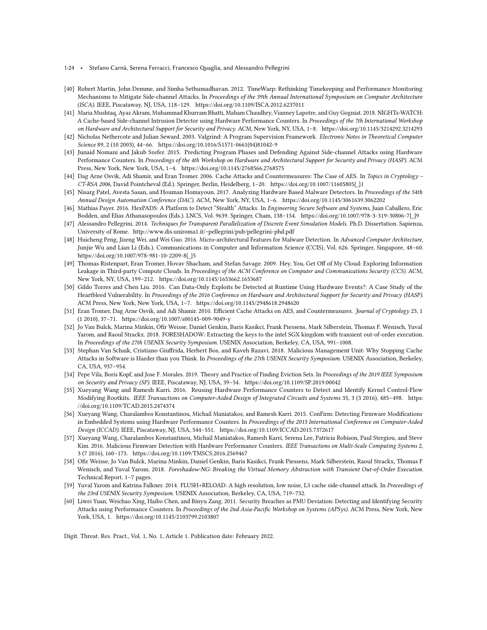- 1:24 Stefano Carnà, Serena Ferracci, Francesco Quaglia, and Alessandro Pellegrini
- <span id="page-23-13"></span>[40] Robert Martin, John Demme, and Simha Sethumadhavan. 2012. TimeWarp: Rethinking Timekeeping and Performance Monitoring Mechanisms to Mitigate Side-channel Attacks. In Proceedings of the 39th Annual International Symposium on Computer Architecture (ISCA). IEEE, Piscataway, NJ, USA, 118–129.<https://doi.org/10.1109/ISCA.2012.6237011>
- <span id="page-23-19"></span>[41] Maria Mushtaq, Ayaz Akram, Muhammad Khurram Bhatti, Maham Chaudhry, Vianney Lapotre, and Guy Gogniat. 2018. NIGHTs-WATCH: A Cache-based Side-channel Intrusion Detector using Hardware Performance Counters. In Proceedings of the 7th International Workshop on Hardware and Architectural Support for Security and Privacy. ACM, New York, NY, USA, 1–8.<https://doi.org/10.1145/3214292.3214293>
- <span id="page-23-20"></span>[42] Nicholas Nethercote and Julian Seward. 2003. Valgrind: A Program Supervision Framework. Electronic Notes in Theoretical Computer Science 89, 2 (10 2003), 44–66. [https://doi.org/10.1016/S1571-0661\(04\)81042-9](https://doi.org/10.1016/S1571-0661(04)81042-9)
- <span id="page-23-14"></span>[43] Junaid Nomani and Jakub Szefer. 2015. Predicting Program Phases and Defending Against Side-channel Attacks using Hardware Performance Counters. In Proceedings of the 4th Workshop on Hardware and Architectural Support for Security and Privacy (HASP). ACM Press, New York, New York, USA, 1–4.<https://doi.org/10.1145/2768566.2768575>
- <span id="page-23-1"></span>[44] Dag Arne Osvik, Adi Shamir, and Eran Tromer. 2006. Cache Attacks and Countermeasures: The Case of AES. In Topics in Cryptology – CT-RSA 2006, David Pointcheval (Ed.). Springer, Berlin, Heidelberg, 1–20. [https://doi.org/10.1007/11605805{\\_}1](https://doi.org/10.1007/11605805{_}1)
- <span id="page-23-8"></span>[45] Nisarg Patel, Avesta Sasan, and Houman Homayoun. 2017. Analyzing Hardware Based Malware Detectors. In Proceedings of the 54th Annual Design Automation Conference (DAC). ACM, New York, NY, USA, 1–6.<https://doi.org/10.1145/3061639.3062202>
- <span id="page-23-15"></span>[46] Mathias Payer. 2016. HexPADS: A Platform to Detect "Stealth" Attacks. In Engineering Secure Software and Systems, Juan Caballero, Eric Bodden, and Elias Athanasopoulos (Eds.). LNCS, Vol. 9639. Springer, Cham, 138–154. [https://doi.org/10.1007/978-3-319-30806-7{\\_}9](https://doi.org/10.1007/978-3-319-30806-7{_}9)
- <span id="page-23-18"></span>[47] Alessandro Pellegrini. 2014. Techniques for Transparent Parallelization of Discrete Event Simulation Models. Ph.D. Dissertation. Sapienza, University of Rome.<http://www.dis.uniroma1.it/~pellegrini/pub/pellegrini-phd.pdf>
- <span id="page-23-9"></span>[48] Huicheng Peng, Jizeng Wei, and Wei Guo. 2016. Micro-architectural Features for Malware Detection. In Advanced Computer Architecture, Junjie Wu and Lian Li (Eds.). Communications in Computer and Information Science (CCIS), Vol. 626. Springer, Singapore, 48–60. [https://doi.org/10.1007/978-981-10-2209-8{\\_}5](https://doi.org/10.1007/978-981-10-2209-8{_}5)
- <span id="page-23-5"></span>[49] Thomas Ristenpart, Eran Tromer, Hovav Shacham, and Stefan Savage. 2009. Hey, You, Get Off of My Cloud: Exploring Information Leakage in Third-party Compute Clouds. In Proceedings of the ACM Conference on Computer and Communications Security (CCS). ACM, New York, NY, USA, 199–212.<https://doi.org/10.1145/1653662.1653687>
- <span id="page-23-6"></span>[50] Gildo Torres and Chen Liu. 2016. Can Data-Only Exploits be Detected at Runtime Using Hardware Events?: A Case Study of the Heartbleed Vulnerability. In Proceedings of the 2016 Conference on Hardware and Architectural Support for Security and Privacy (HASP). ACM Press, New York, New York, USA, 1–7.<https://doi.org/10.1145/2948618.2948620>
- <span id="page-23-2"></span>[51] Eran Tromer, Dag Arne Osvik, and Adi Shamir. 2010. Efficient Cache Attacks on AES, and Countermeasures. Journal of Cryptology 23, 1 (1 2010), 37–71.<https://doi.org/10.1007/s00145-009-9049-y>
- <span id="page-23-3"></span>[52] Jo Van Bulck, Marina Minkin, Ofir Weisse, Daniel Genkin, Baris Kasikci, Frank Piessens, Mark Silberstein, Thomas F. Wenisch, Yuval Yarom, and Raoul Strackx. 2018. FORESHADOW: Extracting the keys to the intel SGX kingdom with transient out-of-order execution. In Proceedings of the 27th USENIX Security Symposium. USENIX Association, Berkeley, CA, USA, 991–1008.
- <span id="page-23-16"></span>[53] Stephan Van Schaik, Cristiano Giuffrida, Herbert Bos, and Kaveh Razavi. 2018. Malicious Management Unit: Why Stopping Cache Attacks in Software is Harder than you Think. In Proceedings of the 27th USENIX Security Symposium. USENIX Association, Berkeley, CA, USA, 937–954.
- <span id="page-23-17"></span>[54] Pepe Vila, Boris Kopf, and Jose F. Morales. 2019. Theory and Practice of Finding Eviction Sets. In Proceedings of the 2019 IEEE Symposium on Security and Privacy (SP). IEEE, Piscataway, NJ, USA, 39–54.<https://doi.org/10.1109/SP.2019.00042>
- <span id="page-23-10"></span>[55] Xueyang Wang and Ramesh Karri. 2016. Reusing Hardware Performance Counters to Detect and Identify Kernel Control-Flow Modifying Rootkits. IEEE Transactions on Computer-Aided Design of Integrated Circuits and Systems 35, 3 (3 2016), 485–498. [https:](https://doi.org/10.1109/TCAD.2015.2474374) [//doi.org/10.1109/TCAD.2015.2474374](https://doi.org/10.1109/TCAD.2015.2474374)
- <span id="page-23-11"></span>[56] Xueyang Wang, Charalambos Konstantinou, Michail Maniatakos, and Ramesh Karri. 2015. ConFirm: Detecting Firmware Modifications in Embedded Systems using Hardware Performance Counters. In Proceedings of the 2015 International Conference on Computer-Aided Design (ICCAD). IEEE, Piscataway, NJ, USA, 544–551.<https://doi.org/10.1109/ICCAD.2015.7372617>
- <span id="page-23-12"></span>[57] Xueyang Wang, Charalambos Konstantinou, Michail Maniatakos, Ramesh Karri, Serena Lee, Patricia Robison, Paul Stergiou, and Steve Kim. 2016. Malicious Firmware Detection with Hardware Performance Counters. IEEE Transactions on Multi-Scale Computing Systems 2, 3 (7 2016), 160–173.<https://doi.org/10.1109/TMSCS.2016.2569467>
- <span id="page-23-4"></span>[58] Ofir Weisse, Jo Van Bulck, Marina Minkin, Daniel Genkin, Baris Kasikci, Frank Piessens, Mark Silberstein, Raoul Strackx, Thomas F Wenisch, and Yuval Yarom. 2018. Foreshadow-NG: Breaking the Virtual Memory Abstraction with Transient Out-of-Order Execution. Technical Report. 1–7 pages.
- <span id="page-23-0"></span>[59] Yuval Yarom and Katrina Falkner. 2014. FLUSH+RELOAD: A high resolution, low noise, L3 cache side-channel attack. In Proceedings of the 23rd USENIX Security Symposium. USENIX Association, Berkeley, CA, USA, 719–732.
- <span id="page-23-7"></span>[60] Liwei Yuan, Weichao Xing, Haibo Chen, and Binyu Zang. 2011. Security Breaches as PMU Deviation: Detecting and Identifying Security Attacks using Performance Counters. In Proceedings of the 2nd Asia-Pacific Workshop on Systems (APSys). ACM Press, New York, New York, USA, 1.<https://doi.org/10.1145/2103799.2103807>